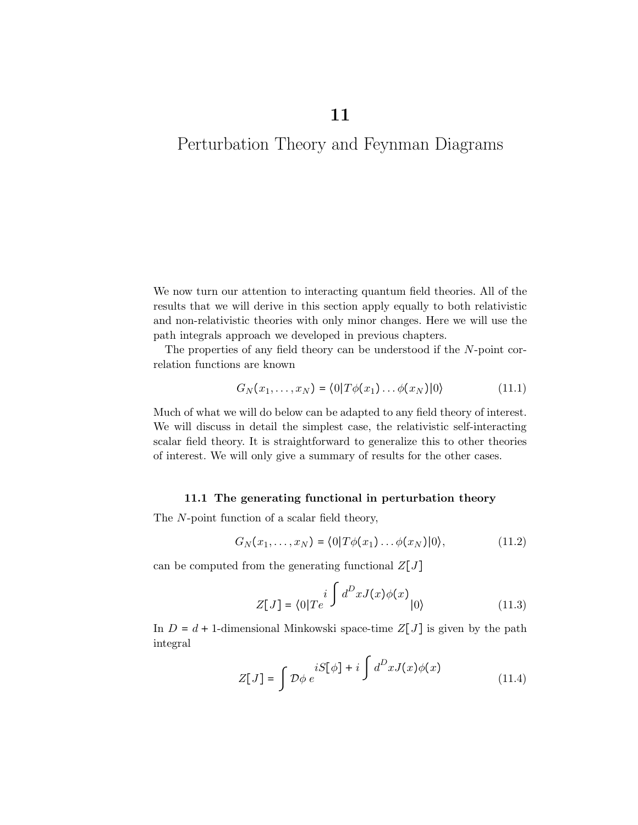11

# Perturbation Theory and Feynman Diagrams

We now turn our attention to interacting quantum field theories. All of the results that we will derive in this section apply equally to both relativistic and non-relativistic theories with only minor changes. Here we will use the path integrals approach we developed in previous chapters.

The properties of any field theory can be understood if the N-point correlation functions are known

$$
G_N(x_1,\ldots,x_N) = \langle 0|T\phi(x_1)\ldots\phi(x_N)|0\rangle \qquad (11.1)
$$

Much of what we will do below can be adapted to any field theory of interest. We will discuss in detail the simplest case, the relativistic self-interacting scalar field theory. It is straightforward to generalize this to other theories of interest. We will only give a summary of results for the other cases.

## 11.1 The generating functional in perturbation theory

The N-point function of a scalar field theory,

$$
G_N(x_1,\ldots,x_N)=\langle 0|T\phi(x_1)\ldots\phi(x_N)|0\rangle, \qquad (11.2)
$$

can be computed from the generating functional  $Z[J]$ 

$$
Z[J] = \langle 0|Te^{i \int d^D x J(x)\phi(x)}|0\rangle \tag{11.3}
$$

In  $D = d + 1$ -dimensional Minkowski space-time  $Z[J]$  is given by the path integral

$$
Z[J] = \int \mathcal{D}\phi \, e^{iS[\phi] + i \int d^D x J(x)\phi(x)} \tag{11.4}
$$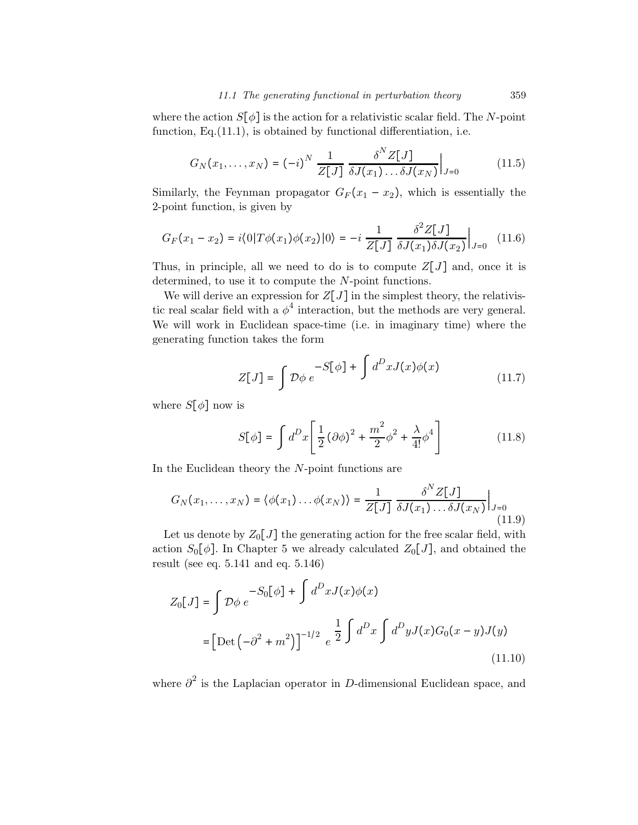where the action  $S[\phi]$  is the action for a relativistic scalar field. The N-point function, Eq.(11.1), is obtained by functional differentiation, i.e.

$$
G_N(x_1,\ldots,x_N) = (-i)^N \frac{1}{Z[J]} \frac{\delta^N Z[J]}{\delta J(x_1)\ldots\delta J(x_N)}\Big|_{J=0}
$$
 (11.5)

Similarly, the Feynman propagator  $G_F(x_1 - x_2)$ , which is essentially the 2-point function, is given by

$$
G_F(x_1 - x_2) = i \langle 0 | T\phi(x_1)\phi(x_2) | 0 \rangle = -i \frac{1}{Z[J]} \frac{\delta^2 Z[J]}{\delta J(x_1)\delta J(x_2)} \Big|_{J=0} \tag{11.6}
$$

Thus, in principle, all we need to do is to compute  $Z[J]$  and, once it is determined, to use it to compute the N-point functions.

We will derive an expression for  $Z[J]$  in the simplest theory, the relativistic real scalar field with a  $\phi^4$  interaction, but the methods are very general. We will work in Euclidean space-time (i.e. in imaginary time) where the generating function takes the form

$$
Z[J] = \int \mathcal{D}\phi \, e^{-S[\phi] + \int d^D x J(x)\phi(x)} \tag{11.7}
$$

where  $S[\phi]$  now is

$$
S[\phi] = \int d^D x \left[ \frac{1}{2} \left( \partial \phi \right)^2 + \frac{m^2}{2} \phi^2 + \frac{\lambda}{4!} \phi^4 \right]
$$
(11.8)

In the Euclidean theory the N-point functions are

$$
G_N(x_1,\ldots,x_N) = \langle \phi(x_1)\ldots\phi(x_N) \rangle = \frac{1}{Z[J]} \frac{\delta^N Z[J]}{\delta J(x_1)\ldots\delta J(x_N)} \Big|_{J=0}
$$
\n(11.9)

Let us denote by  $Z_0[J]$  the generating action for the free scalar field, with action  $S_0[\phi]$ . In Chapter 5 we already calculated  $Z_0[J]$ , and obtained the result (see eq. 5.141 and eq. 5.146)

$$
Z_0[J] = \int \mathcal{D}\phi \ e^{-S_0[\phi] + \int d^D x J(x)\phi(x)}
$$
  
=  $\left[ \text{Det} \left( -\partial^2 + m^2 \right) \right]^{-1/2} e^{\frac{1}{2} \int d^D x \int d^D y J(x) G_0(x - y) J(y)}$  (11.10)

where  $\partial^2$  is the Laplacian operator in D-dimensional Euclidean space, and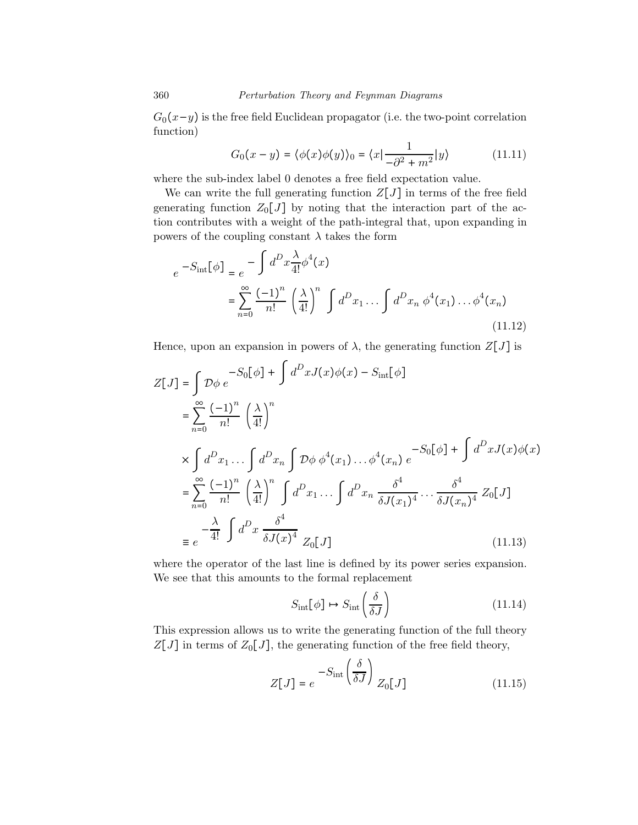$G_0(x-y)$  is the free field Euclidean propagator (i.e. the two-point correlation function)

$$
G_0(x - y) = \langle \phi(x)\phi(y) \rangle_0 = \langle x | \frac{1}{-\partial^2 + m^2} | y \rangle \tag{11.11}
$$

where the sub-index label 0 denotes a free field expectation value.

We can write the full generating function  $Z[J]$  in terms of the free field generating function  $Z_0[J]$  by noting that the interaction part of the action contributes with a weight of the path-integral that, upon expanding in powers of the coupling constant  $\lambda$  takes the form

$$
e^{-S_{\rm int}[\phi]} = e^{-\int d^D x \frac{\lambda}{4!} \phi^4(x)}
$$
  
= 
$$
\sum_{n=0}^{\infty} \frac{(-1)^n}{n!} \left(\frac{\lambda}{4!}\right)^n \int d^D x_1 \dots \int d^D x_n \phi^4(x_1) \dots \phi^4(x_n)
$$
 (11.12)

Hence, upon an expansion in powers of  $\lambda$ , the generating function  $Z[J]$  is

$$
Z[J] = \int \mathcal{D}\phi \, e^{-S_0[\phi] + \int d^D x J(x)\phi(x) - S_{int}[\phi]}
$$
  
\n
$$
= \sum_{n=0}^{\infty} \frac{(-1)^n}{n!} \left(\frac{\lambda}{4!}\right)^n
$$
  
\n
$$
\times \int d^D x_1 \dots \int d^D x_n \int \mathcal{D}\phi \, \phi^4(x_1) \dots \phi^4(x_n) \, e^{-S_0[\phi] + \int d^D x J(x)\phi(x)}
$$
  
\n
$$
= \sum_{n=0}^{\infty} \frac{(-1)^n}{n!} \left(\frac{\lambda}{4!}\right)^n \int d^D x_1 \dots \int d^D x_n \frac{\delta^4}{\delta J(x_1)^4} \dots \frac{\delta^4}{\delta J(x_n)^4} Z_0[J]
$$
  
\n
$$
\equiv e^{-\frac{\lambda}{4!} \int d^D x \frac{\delta^4}{\delta J(x)^4} Z_0[J]}
$$
(11.13)

where the operator of the last line is defined by its power series expansion. We see that this amounts to the formal replacement

$$
S_{\rm int}[\phi] \mapsto S_{\rm int}\left(\frac{\delta}{\delta J}\right) \tag{11.14}
$$

This expression allows us to write the generating function of the full theory  $Z[J]$  in terms of  $Z_0[J]$ , the generating function of the free field theory,

$$
Z[J] = e^{-S_{\rm int} \left(\frac{\delta}{\delta J}\right)} Z_0[J] \tag{11.15}
$$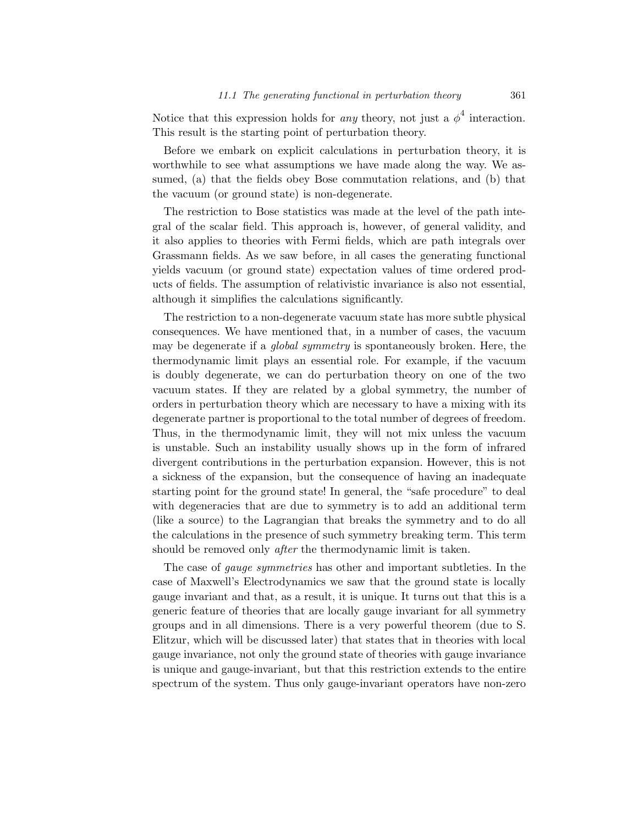Notice that this expression holds for *any* theory, not just a  $\phi^4$  interaction. This result is the starting point of perturbation theory.

Before we embark on explicit calculations in perturbation theory, it is worthwhile to see what assumptions we have made along the way. We assumed, (a) that the fields obey Bose commutation relations, and (b) that the vacuum (or ground state) is non-degenerate.

The restriction to Bose statistics was made at the level of the path integral of the scalar field. This approach is, however, of general validity, and it also applies to theories with Fermi fields, which are path integrals over Grassmann fields. As we saw before, in all cases the generating functional yields vacuum (or ground state) expectation values of time ordered products of fields. The assumption of relativistic invariance is also not essential, although it simplifies the calculations significantly.

The restriction to a non-degenerate vacuum state has more subtle physical consequences. We have mentioned that, in a number of cases, the vacuum may be degenerate if a *global symmetry* is spontaneously broken. Here, the thermodynamic limit plays an essential role. For example, if the vacuum is doubly degenerate, we can do perturbation theory on one of the two vacuum states. If they are related by a global symmetry, the number of orders in perturbation theory which are necessary to have a mixing with its degenerate partner is proportional to the total number of degrees of freedom. Thus, in the thermodynamic limit, they will not mix unless the vacuum is unstable. Such an instability usually shows up in the form of infrared divergent contributions in the perturbation expansion. However, this is not a sickness of the expansion, but the consequence of having an inadequate starting point for the ground state! In general, the "safe procedure" to deal with degeneracies that are due to symmetry is to add an additional term (like a source) to the Lagrangian that breaks the symmetry and to do all the calculations in the presence of such symmetry breaking term. This term should be removed only *after* the thermodynamic limit is taken.

The case of gauge symmetries has other and important subtleties. In the case of Maxwell's Electrodynamics we saw that the ground state is locally gauge invariant and that, as a result, it is unique. It turns out that this is a generic feature of theories that are locally gauge invariant for all symmetry groups and in all dimensions. There is a very powerful theorem (due to S. Elitzur, which will be discussed later) that states that in theories with local gauge invariance, not only the ground state of theories with gauge invariance is unique and gauge-invariant, but that this restriction extends to the entire spectrum of the system. Thus only gauge-invariant operators have non-zero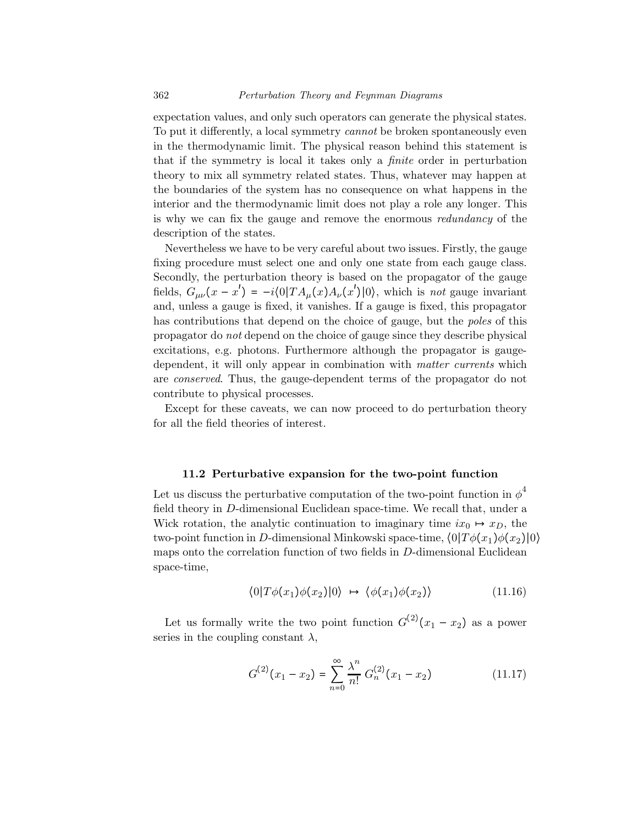expectation values, and only such operators can generate the physical states. To put it differently, a local symmetry *cannot* be broken spontaneously even in the thermodynamic limit. The physical reason behind this statement is that if the symmetry is local it takes only a finite order in perturbation theory to mix all symmetry related states. Thus, whatever may happen at the boundaries of the system has no consequence on what happens in the interior and the thermodynamic limit does not play a role any longer. This is why we can fix the gauge and remove the enormous redundancy of the description of the states.

Nevertheless we have to be very careful about two issues. Firstly, the gauge fixing procedure must select one and only one state from each gauge class. Secondly, the perturbation theory is based on the propagator of the gauge fields,  $G_{\mu\nu}(x-x') = -i\langle 0|TA_{\mu}(x)A_{\nu}(x')|0\rangle$ , which is not gauge invariant and, unless a gauge is fixed, it vanishes. If a gauge is fixed, this propagator has contributions that depend on the choice of gauge, but the *poles* of this propagator do not depend on the choice of gauge since they describe physical excitations, e.g. photons. Furthermore although the propagator is gaugedependent, it will only appear in combination with matter currents which are conserved. Thus, the gauge-dependent terms of the propagator do not contribute to physical processes.

Except for these caveats, we can now proceed to do perturbation theory for all the field theories of interest.

#### 11.2 Perturbative expansion for the two-point function

Let us discuss the perturbative computation of the two-point function in  $\phi^4$ field theory in D-dimensional Euclidean space-time. We recall that, under a Wick rotation, the analytic continuation to imaginary time  $ix_0 \mapsto x_D$ , the two-point function in D-dimensional Minkowski space-time,  $\langle 0|T\phi(x_1)\phi(x_2)|0\rangle$ maps onto the correlation function of two fields in D-dimensional Euclidean space-time,

$$
\langle 0|T\phi(x_1)\phi(x_2)|0\rangle \mapsto \langle \phi(x_1)\phi(x_2)\rangle \tag{11.16}
$$

Let us formally write the two point function  $G^{(2)}(x_1 - x_2)$  as a power series in the coupling constant  $\lambda$ ,

$$
G^{(2)}(x_1 - x_2) = \sum_{n=0}^{\infty} \frac{\lambda^n}{n!} G_n^{(2)}(x_1 - x_2)
$$
 (11.17)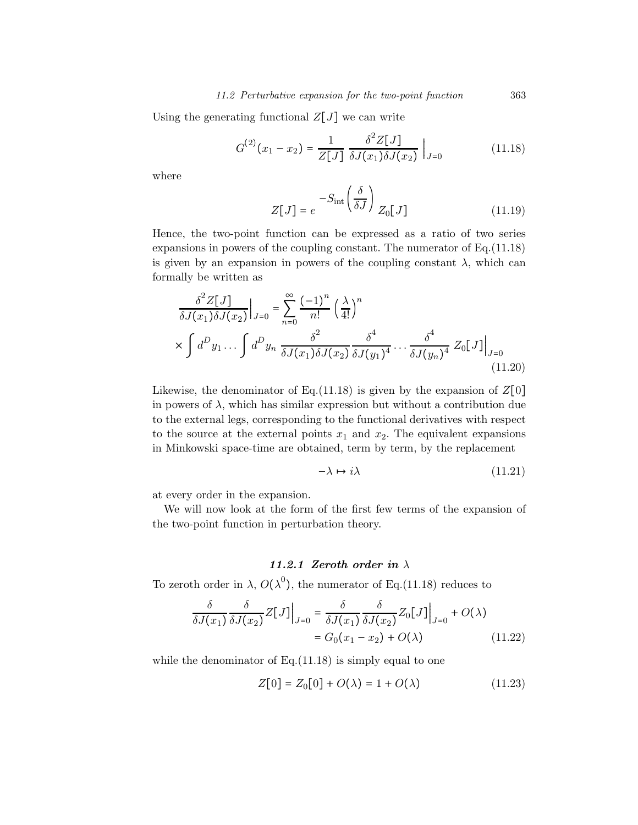Using the generating functional  $Z[J]$  we can write

$$
G^{(2)}(x_1 - x_2) = \frac{1}{Z[J]} \frac{\delta^2 Z[J]}{\delta J(x_1) \delta J(x_2)} \Big|_{J=0}
$$
 (11.18)

where

$$
Z[J] = e^{-S_{\rm int} \left(\frac{\delta}{\delta J}\right)} Z_0[J] \tag{11.19}
$$

Hence, the two-point function can be expressed as a ratio of two series expansions in powers of the coupling constant. The numerator of Eq.(11.18) is given by an expansion in powers of the coupling constant  $\lambda$ , which can formally be written as

$$
\frac{\delta^2 Z[J]}{\delta J(x_1)\delta J(x_2)}\Big|_{J=0} = \sum_{n=0}^{\infty} \frac{(-1)^n}{n!} \left(\frac{\lambda}{4!}\right)^n
$$
  
 
$$
\times \int d^D y_1 \dots \int d^D y_n \frac{\delta^2}{\delta J(x_1)\delta J(x_2)} \frac{\delta^4}{\delta J(y_1)^4} \dots \frac{\delta^4}{\delta J(y_n)^4} Z_0[J]\Big|_{J=0}
$$
(11.20)

Likewise, the denominator of Eq.(11.18) is given by the expansion of  $Z[0]$ in powers of  $\lambda$ , which has similar expression but without a contribution due to the external legs, corresponding to the functional derivatives with respect to the source at the external points  $x_1$  and  $x_2$ . The equivalent expansions in Minkowski space-time are obtained, term by term, by the replacement

$$
-\lambda \mapsto i\lambda \tag{11.21}
$$

at every order in the expansion.

We will now look at the form of the first few terms of the expansion of the two-point function in perturbation theory.

## 11.2.1 Zeroth order in  $\lambda$

To zeroth order in  $\lambda$ ,  $O(\lambda^0)$ , the numerator of Eq.(11.18) reduces to

$$
\frac{\delta}{\delta J(x_1)} \frac{\delta}{\delta J(x_2)} Z[J] \Big|_{J=0} = \frac{\delta}{\delta J(x_1)} \frac{\delta}{\delta J(x_2)} Z_0[J] \Big|_{J=0} + O(\lambda)
$$

$$
= G_0(x_1 - x_2) + O(\lambda)
$$
(11.22)

while the denominator of  $Eq.(11.18)$  is simply equal to one

$$
Z[0] = Z_0[0] + O(\lambda) = 1 + O(\lambda)
$$
 (11.23)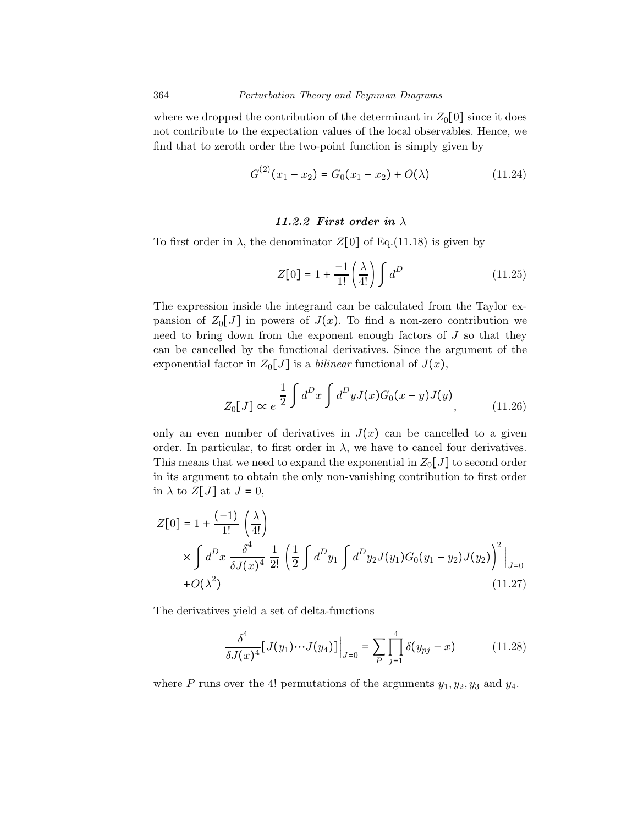where we dropped the contribution of the determinant in  $Z_0[0]$  since it does not contribute to the expectation values of the local observables. Hence, we find that to zeroth order the two-point function is simply given by

$$
G^{(2)}(x_1 - x_2) = G_0(x_1 - x_2) + O(\lambda)
$$
 (11.24)

### 11.2.2 First order in  $\lambda$

To first order in  $\lambda$ , the denominator  $Z[0]$  of Eq.(11.18) is given by

$$
Z[0] = 1 + \frac{-1}{1!} \left(\frac{\lambda}{4!}\right) \int d^D \tag{11.25}
$$

The expression inside the integrand can be calculated from the Taylor expansion of  $Z_0[J]$  in powers of  $J(x)$ . To find a non-zero contribution we need to bring down from the exponent enough factors of  $J$  so that they can be cancelled by the functional derivatives. Since the argument of the exponential factor in  $Z_0[J]$  is a *bilinear* functional of  $J(x)$ ,

$$
Z_0[J] \propto e^{\frac{1}{2} \int d^D x \int d^D y J(x) G_0(x-y) J(y)}, \qquad (11.26)
$$

only an even number of derivatives in  $J(x)$  can be cancelled to a given order. In particular, to first order in  $\lambda$ , we have to cancel four derivatives. This means that we need to expand the exponential in  $Z_0[J]$  to second order in its argument to obtain the only non-vanishing contribution to first order in  $\lambda$  to  $Z[J]$  at  $J=0$ ,

$$
Z[0] = 1 + \frac{(-1)}{1!} \left(\frac{\lambda}{4!}\right)
$$
  
 
$$
\times \int d^D x \frac{\delta^4}{\delta J(x)^4} \frac{1}{2!} \left(\frac{1}{2} \int d^D y_1 \int d^D y_2 J(y_1) G_0(y_1 - y_2) J(y_2) \right)^2 \Big|_{J=0}
$$
  
+ O(\lambda^2) (11.27)

The derivatives yield a set of delta-functions

$$
\frac{\delta^4}{\delta J(x)^4} [J(y_1) \cdots J(y_4)]\Big|_{J=0} = \sum_{P} \prod_{j=1}^4 \delta(y_{pj} - x) \tag{11.28}
$$

where P runs over the 4! permutations of the arguments  $y_1, y_2, y_3$  and  $y_4$ .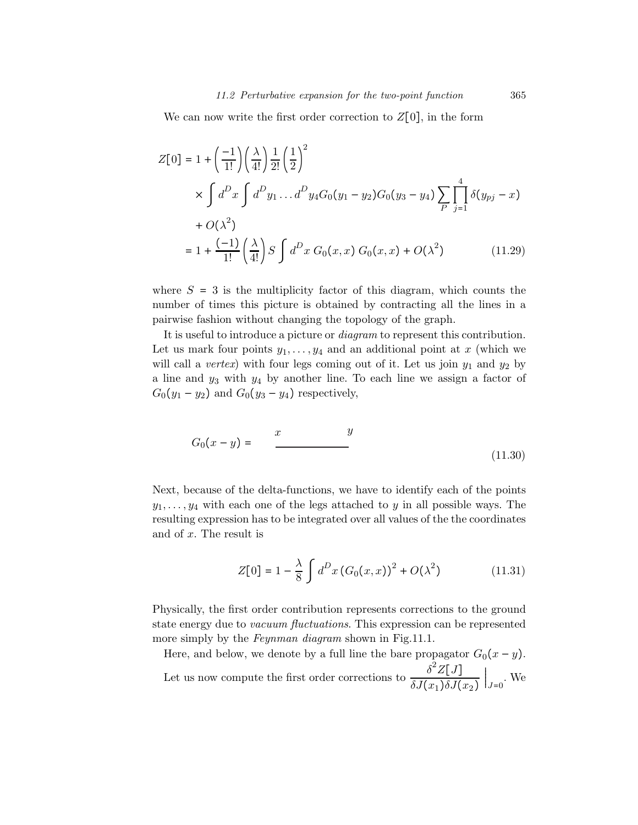We can now write the first order correction to  $Z[0]$ , in the form

$$
Z[0] = 1 + \left(\frac{-1}{1!}\right) \left(\frac{\lambda}{4!}\right) \frac{1}{2!} \left(\frac{1}{2}\right)^2
$$
  
 
$$
\times \int d^D x \int d^D y_1 \dots d^D y_4 G_0 (y_1 - y_2) G_0 (y_3 - y_4) \sum_{P} \prod_{j=1}^4 \delta(y_{pj} - x)
$$
  
+  $O(\lambda^2)$   
=  $1 + \frac{(-1)}{1!} \left(\frac{\lambda}{4!}\right) S \int d^D x G_0 (x, x) G_0 (x, x) + O(\lambda^2)$  (11.29)

where  $S = 3$  is the multiplicity factor of this diagram, which counts the number of times this picture is obtained by contracting all the lines in a pairwise fashion without changing the topology of the graph.

It is useful to introduce a picture or diagram to represent this contribution. Let us mark four points  $y_1, \ldots, y_4$  and an additional point at x (which we will call a *vertex*) with four legs coming out of it. Let us join  $y_1$  and  $y_2$  by a line and  $y_3$  with  $y_4$  by another line. To each line we assign a factor of  $G_0(y_1 - y_2)$  and  $G_0(y_3 - y_4)$  respectively,

$$
G_0(x-y) = \frac{x}{\qquad}-\frac{y}{\qquad \qquad (11.30)}
$$

Next, because of the delta-functions, we have to identify each of the points  $y_1, \ldots, y_4$  with each one of the legs attached to y in all possible ways. The resulting expression has to be integrated over all values of the the coordinates and of x. The result is

$$
Z[0] = 1 - \frac{\lambda}{8} \int d^D x (G_0(x, x))^2 + O(\lambda^2)
$$
 (11.31)

Physically, the first order contribution represents corrections to the ground state energy due to vacuum fluctuations. This expression can be represented more simply by the *Feynman diagram* shown in Fig. 11.1.

Here, and below, we denote by a full line the bare propagator  $G_0(x - y)$ . Let us now compute the first order corrections to  $\frac{\delta^2 Z[J]}{\delta J'(\epsilon)}$  $\delta J(x_1)\delta J(x_2)$  $\Big|_{J=0}$ . We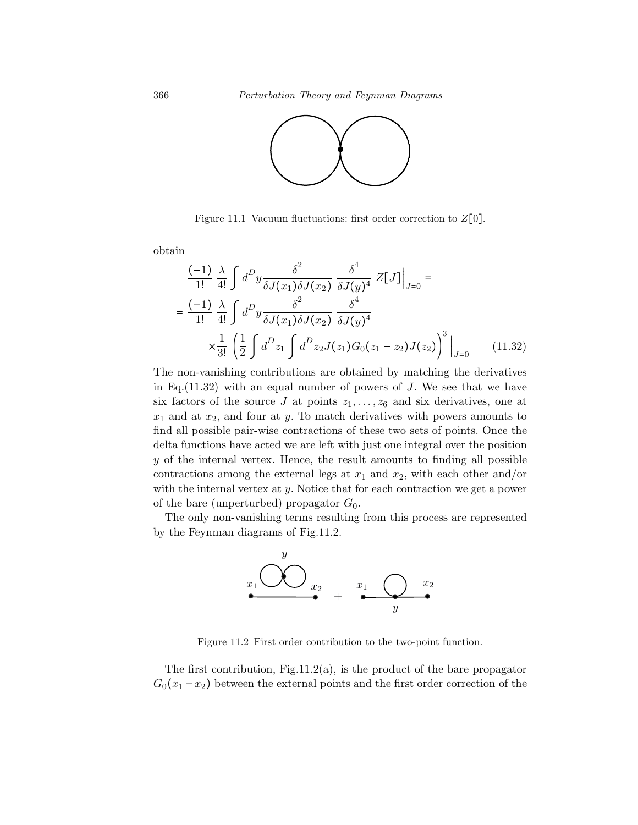

Figure 11.1 Vacuum fluctuations: first order correction to  $Z[0]$ .

obtain

$$
\frac{(-1)}{1!} \frac{\lambda}{4!} \int d^D y \frac{\delta^2}{\delta J(x_1) \delta J(x_2)} \frac{\delta^4}{\delta J(y)^4} Z[J] \Big|_{J=0} =
$$
  
= 
$$
\frac{(-1)}{1!} \frac{\lambda}{4!} \int d^D y \frac{\delta^2}{\delta J(x_1) \delta J(x_2)} \frac{\delta^4}{\delta J(y)^4}
$$

$$
\times \frac{1}{3!} \left(\frac{1}{2} \int d^D z_1 \int d^D z_2 J(z_1) G_0(z_1 - z_2) J(z_2) \right)^3 \Big|_{J=0} \qquad (11.32)
$$

The non-vanishing contributions are obtained by matching the derivatives in Eq.  $(11.32)$  with an equal number of powers of J. We see that we have six factors of the source J at points  $z_1, \ldots, z_6$  and six derivatives, one at  $x_1$  and at  $x_2$ , and four at y. To match derivatives with powers amounts to find all possible pair-wise contractions of these two sets of points. Once the delta functions have acted we are left with just one integral over the position  $y$  of the internal vertex. Hence, the result amounts to finding all possible contractions among the external legs at  $x_1$  and  $x_2$ , with each other and/or with the internal vertex at  $y$ . Notice that for each contraction we get a power of the bare (unperturbed) propagator  $G_0$ .

The only non-vanishing terms resulting from this process are represented by the Feynman diagrams of Fig.11.2.



Figure 11.2 First order contribution to the two-point function.

The first contribution,  $Fig.11.2(a)$ , is the product of the bare propagator  $G_0(x_1-x_2)$  between the external points and the first order correction of the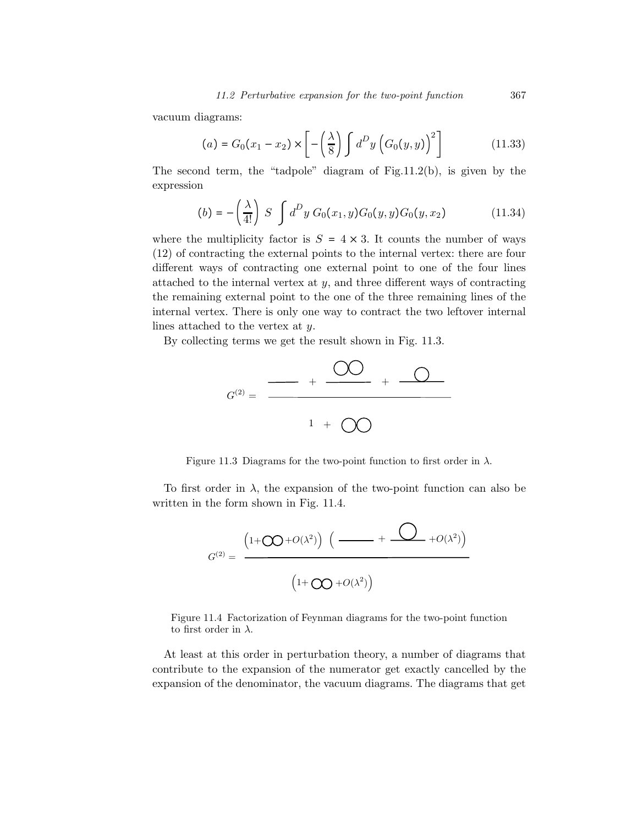vacuum diagrams:

$$
(a) = G_0(x_1 - x_2) \times \left[ -\left(\frac{\lambda}{8}\right) \int d^D y \left( G_0(y, y) \right)^2 \right] \tag{11.33}
$$

The second term, the "tadpole" diagram of Fig.11.2(b), is given by the expression

$$
(b) = -\left(\frac{\lambda}{4!}\right) S \int d^D y \ G_0(x_1, y) G_0(y, y) G_0(y, x_2) \tag{11.34}
$$

where the multiplicity factor is  $S = 4 \times 3$ . It counts the number of ways (12) of contracting the external points to the internal vertex: there are four different ways of contracting one external point to one of the four lines attached to the internal vertex at  $y$ , and three different ways of contracting the remaining external point to the one of the three remaining lines of the internal vertex. There is only one way to contract the two leftover internal lines attached to the vertex at y.

By collecting terms we get the result shown in Fig. 11.3.



Figure 11.3 Diagrams for the two-point function to first order in  $\lambda$ .

To first order in  $\lambda$ , the expansion of the two-point function can also be written in the form shown in Fig. 11.4.

$$
G^{(2)} = \frac{\left(1+\mathsf{O}(\lambda^{2})\right)\left(\frac{}{\phantom{1\,+\frac{1}{\sqrt{1+\mathsf{O}(\lambda^{2})}}\left(\frac{}{\phantom{1\,+\frac{1}{\sqrt{1+\mathsf{O}(\lambda^{2})}}}\right)^{2}}}\right.\left.\left.\begin{array}{1}+\mathsf{O}(\lambda^{2})\end{array}\right)}\right)
$$

Figure 11.4 Factorization of Feynman diagrams for the two-point function to first order in  $\lambda$ .

At least at this order in perturbation theory, a number of diagrams that contribute to the expansion of the numerator get exactly cancelled by the expansion of the denominator, the vacuum diagrams. The diagrams that get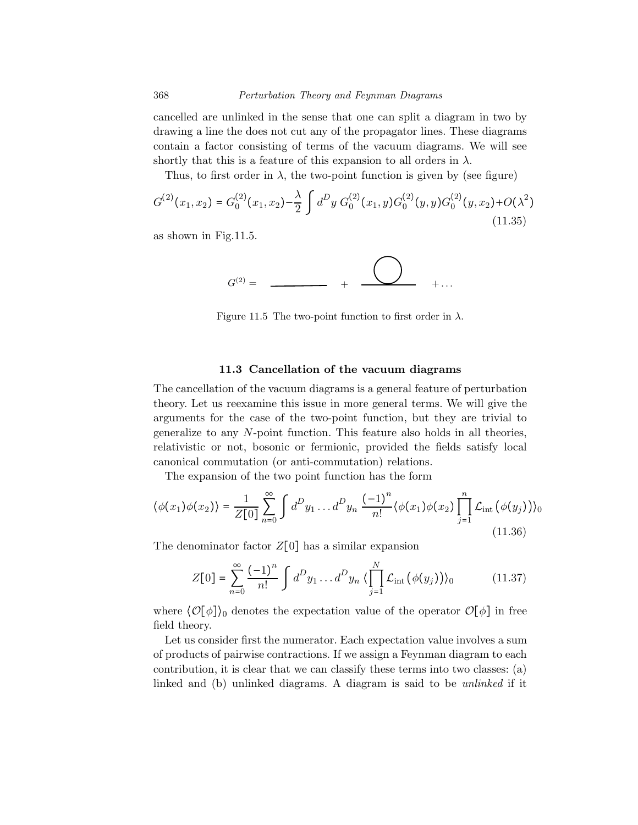cancelled are unlinked in the sense that one can split a diagram in two by drawing a line the does not cut any of the propagator lines. These diagrams contain a factor consisting of terms of the vacuum diagrams. We will see shortly that this is a feature of this expansion to all orders in  $\lambda$ .

Thus, to first order in  $\lambda$ , the two-point function is given by (see figure)

$$
G^{(2)}(x_1, x_2) = G_0^{(2)}(x_1, x_2) - \frac{\lambda}{2} \int d^D y \ G_0^{(2)}(x_1, y) G_0^{(2)}(y, y) G_0^{(2)}(y, x_2) + O(\lambda^2)
$$
\n(11.35)

as shown in Fig.11.5.

$$
G^{(2)} = \begin{array}{ccc} & & & \textcircled{1} \\ \textcircled{1} & & & \textcircled{2} \\ & & & \textcircled{3} \end{array} \quad + \begin{array}{ccc} & & \textcircled{2} \\ \textcircled{3} & & \textcircled{4} \end{array} \quad + \cdots
$$

Figure 11.5 The two-point function to first order in  $\lambda$ .

### 11.3 Cancellation of the vacuum diagrams

The cancellation of the vacuum diagrams is a general feature of perturbation theory. Let us reexamine this issue in more general terms. We will give the arguments for the case of the two-point function, but they are trivial to generalize to any N-point function. This feature also holds in all theories, relativistic or not, bosonic or fermionic, provided the fields satisfy local canonical commutation (or anti-commutation) relations.

The expansion of the two point function has the form

$$
\langle \phi(x_1)\phi(x_2) \rangle = \frac{1}{Z[0]} \sum_{n=0}^{\infty} \int d^D y_1 \dots d^D y_n \frac{(-1)^n}{n!} \langle \phi(x_1)\phi(x_2) \prod_{j=1}^n \mathcal{L}_{int} (\phi(y_j)) \rangle_0
$$
\n(11.36)

The denominator factor  $Z[0]$  has a similar expansion

$$
Z[0] = \sum_{n=0}^{\infty} \frac{(-1)^n}{n!} \int d^D y_1 \dots d^D y_n \langle \prod_{j=1}^N \mathcal{L}_{\text{int}} (\phi(y_j)) \rangle_0 \tag{11.37}
$$

where  $\langle \mathcal{O}[\phi] \rangle_0$  denotes the expectation value of the operator  $\mathcal{O}[\phi]$  in free field theory.

Let us consider first the numerator. Each expectation value involves a sum of products of pairwise contractions. If we assign a Feynman diagram to each contribution, it is clear that we can classify these terms into two classes: (a) linked and (b) unlinked diagrams. A diagram is said to be *unlinked* if it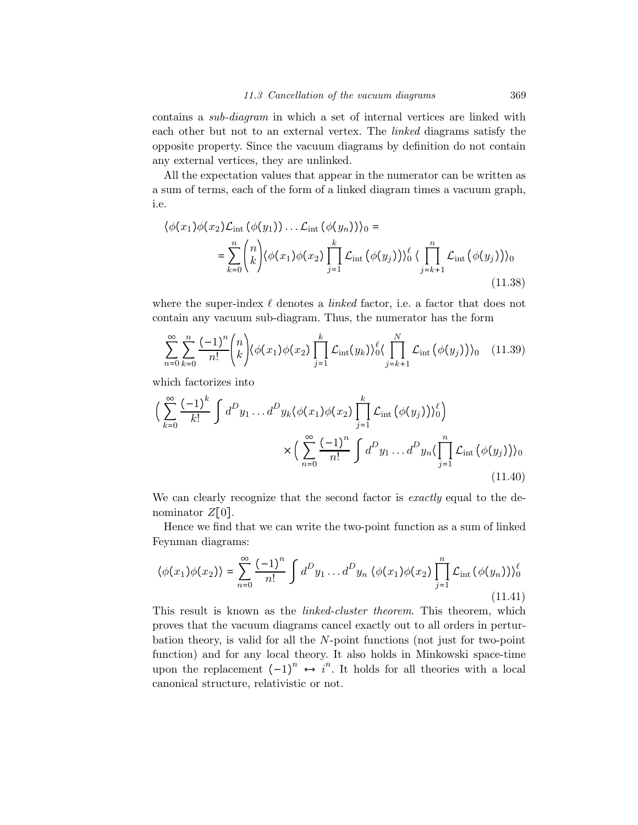contains a sub-diagram in which a set of internal vertices are linked with each other but not to an external vertex. The linked diagrams satisfy the opposite property. Since the vacuum diagrams by definition do not contain any external vertices, they are unlinked.

All the expectation values that appear in the numerator can be written as a sum of terms, each of the form of a linked diagram times a vacuum graph, i.e.

$$
\langle \phi(x_1)\phi(x_2)\mathcal{L}_{int}(\phi(y_1))\dots\mathcal{L}_{int}(\phi(y_n))\rangle_0 =
$$
  
= 
$$
\sum_{k=0}^n \binom{n}{k} \langle \phi(x_1)\phi(x_2)\prod_{j=1}^k \mathcal{L}_{int}(\phi(y_j))\rangle_0^{\ell} \langle \prod_{j=k+1}^n \mathcal{L}_{int}(\phi(y_j))\rangle_0
$$
(11.38)

where the super-index  $\ell$  denotes a *linked* factor, i.e. a factor that does not contain any vacuum sub-diagram. Thus, the numerator has the form

$$
\sum_{n=0}^{\infty} \sum_{k=0}^{n} \frac{(-1)^n}{n!} {n \choose k} \langle \phi(x_1) \phi(x_2) \prod_{j=1}^{k} \mathcal{L}_{\text{int}}(y_k) \rangle_0^{\ell} \langle \prod_{j=k+1}^{N} \mathcal{L}_{\text{int}}(\phi(y_j)) \rangle_0 \quad (11.39)
$$

which factorizes into

$$
\left(\sum_{k=0}^{\infty} \frac{(-1)^k}{k!} \int d^D y_1 \dots d^D y_k \langle \phi(x_1) \phi(x_2) \prod_{j=1}^k \mathcal{L}_{int} (\phi(y_j)) \rangle_0^{\ell} \right) \times \left(\sum_{n=0}^{\infty} \frac{(-1)^n}{n!} \int d^D y_1 \dots d^D y_n \langle \prod_{j=1}^n \mathcal{L}_{int} (\phi(y_j)) \rangle_0 \right)
$$
\n(11.40)

We can clearly recognize that the second factor is exactly equal to the denominator  $Z[0]$ .

Hence we find that we can write the two-point function as a sum of linked Feynman diagrams:

$$
\langle \phi(x_1)\phi(x_2) \rangle = \sum_{n=0}^{\infty} \frac{(-1)^n}{n!} \int d^D y_1 \dots d^D y_n \langle \phi(x_1)\phi(x_2) \prod_{j=1}^n \mathcal{L}_{\text{int}} (\phi(y_n)) \rangle_0^{\ell}
$$
\n(11.41)

This result is known as the linked-cluster theorem. This theorem, which proves that the vacuum diagrams cancel exactly out to all orders in perturbation theory, is valid for all the N-point functions (not just for two-point function) and for any local theory. It also holds in Minkowski space-time upon the replacement  $(-1)^n \leftrightarrow i^n$ . It holds for all theories with a local canonical structure, relativistic or not.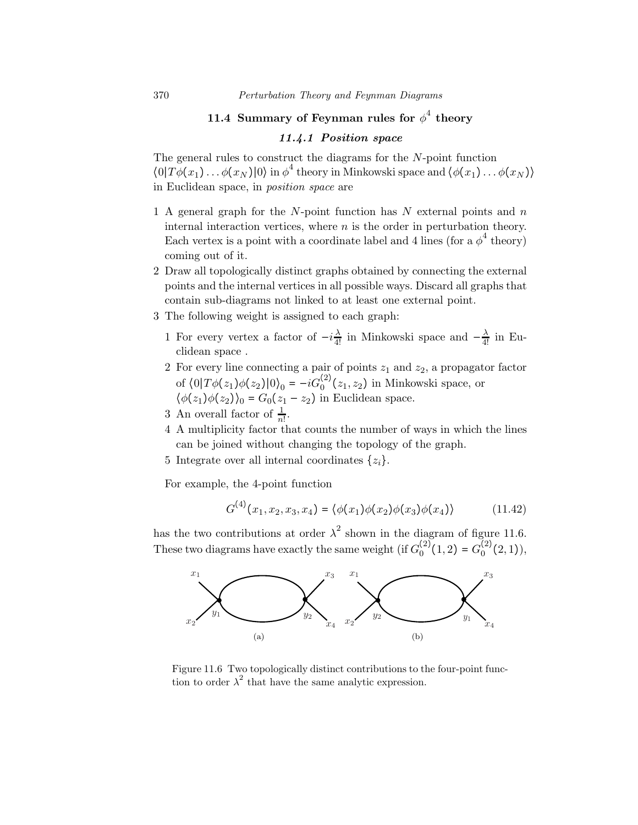## 11.4 Summary of Feynman rules for  $\phi^4$  theory

## 11.4.1 Position space

The general rules to construct the diagrams for the  $N$ -point function  $\langle 0|T\phi(x_1)\dots\phi(x_N)|0\rangle$  in  $\phi^4$  theory in Minkowski space and  $\langle \phi(x_1)\dots\phi(x_N)\rangle$ in Euclidean space, in position space are

- 1 A general graph for the  $N$ -point function has  $N$  external points and  $n$ internal interaction vertices, where  $n$  is the order in perturbation theory. Each vertex is a point with a coordinate label and 4 lines (for a  $\phi^4$  theory) coming out of it.
- 2 Draw all topologically distinct graphs obtained by connecting the external points and the internal vertices in all possible ways. Discard all graphs that contain sub-diagrams not linked to at least one external point.
- 3 The following weight is assigned to each graph:
	- 1 For every vertex a factor of  $-i\frac{\lambda}{4!}$  in Minkowski space and  $-\frac{\lambda}{4!}$  in Euclidean space .
	- 2 For every line connecting a pair of points  $z_1$  and  $z_2$ , a propagator factor of  $\langle 0|T\phi(z_1)\phi(z_2)|0\rangle_0 = -iG_0^{(2)}(z_1, z_2)$  in Minkowski space, or  $\langle \phi(z_1)\phi(z_2)\rangle_0 = G_0(z_1 - z_2)$  in Euclidean space.
	- 3 An overall factor of  $\frac{1}{n!}$ .
	- 4 A multiplicity factor that counts the number of ways in which the lines can be joined without changing the topology of the graph.
	- 5 Integrate over all internal coordinates  $\{z_i\}$ .

For example, the 4-point function

$$
G^{(4)}(x_1, x_2, x_3, x_4) = \langle \phi(x_1) \phi(x_2) \phi(x_3) \phi(x_4) \rangle \tag{11.42}
$$

has the two contributions at order  $\lambda^2$  shown in the diagram of figure 11.6. These two diagrams have exactly the same weight (if  $G_0^{(2)}(1, 2) = G_0^{(2)}(2, 1)$ ),



Figure 11.6 Two topologically distinct contributions to the four-point function to order  $\lambda^2$  that have the same analytic expression.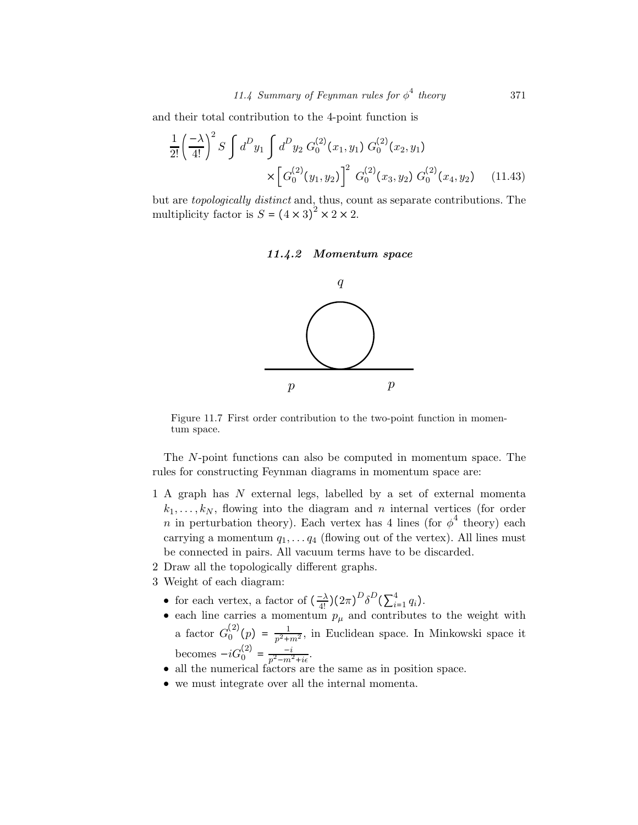and their total contribution to the 4-point function is

$$
\frac{1}{2!} \left(\frac{-\lambda}{4!}\right)^2 S \int d^D y_1 \int d^D y_2 G_0^{(2)}(x_1, y_1) G_0^{(2)}(x_2, y_1)
$$

$$
\times \left[G_0^{(2)}(y_1, y_2)\right]^2 G_0^{(2)}(x_3, y_2) G_0^{(2)}(x_4, y_2) \tag{11.43}
$$

but are topologically distinct and, thus, count as separate contributions. The multiplicity factor is  $S = (4 \times 3)^2 \times 2 \times 2$ .





Figure 11.7 First order contribution to the two-point function in momentum space.

The N-point functions can also be computed in momentum space. The rules for constructing Feynman diagrams in momentum space are:

- 1 A graph has N external legs, labelled by a set of external momenta  $k_1,\ldots,k_N$ , flowing into the diagram and n internal vertices (for order n in perturbation theory). Each vertex has 4 lines (for  $\phi^4$  theory) each carrying a momentum  $q_1, \ldots, q_4$  (flowing out of the vertex). All lines must be connected in pairs. All vacuum terms have to be discarded.
- 2 Draw all the topologically different graphs.
- 3 Weight of each diagram:
	- for each vertex, a factor of  $\left(\frac{-\lambda}{4!}\right) \left(2\pi\right)^D \delta^D \left(\sum_{i=1}^4 q_i\right)$ .
	- each line carries a momentum  $p_{\mu}$  and contributes to the weight with a factor  $G_0^{(2)}(p) = \frac{1}{p^2 + m^2}$ , in Euclidean space. In Minkowski space it becomes  $-iG_0^{(2)} = \frac{-i}{p^2 - m^2 + i\epsilon}$ .
	- all the numerical factors are the same as in position space.
	- we must integrate over all the internal momenta.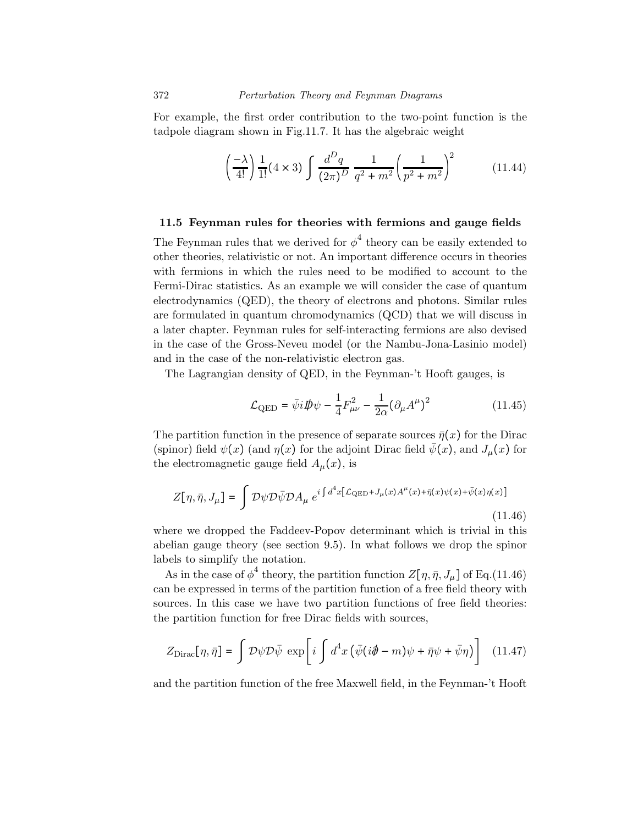For example, the first order contribution to the two-point function is the tadpole diagram shown in Fig.11.7. It has the algebraic weight

$$
\left(\frac{-\lambda}{4!}\right) \frac{1}{1!} (4 \times 3) \int \frac{d^D q}{(2\pi)^D} \frac{1}{q^2 + m^2} \left(\frac{1}{p^2 + m^2}\right)^2 \tag{11.44}
$$

#### 11.5 Feynman rules for theories with fermions and gauge fields

The Feynman rules that we derived for  $\phi^4$  theory can be easily extended to other theories, relativistic or not. An important difference occurs in theories with fermions in which the rules need to be modified to account to the Fermi-Dirac statistics. As an example we will consider the case of quantum electrodynamics (QED), the theory of electrons and photons. Similar rules are formulated in quantum chromodynamics (QCD) that we will discuss in a later chapter. Feynman rules for self-interacting fermions are also devised in the case of the Gross-Neveu model (or the Nambu-Jona-Lasinio model) and in the case of the non-relativistic electron gas.

The Lagrangian density of QED, in the Feynman-'t Hooft gauges, is

$$
\mathcal{L}_{\text{QED}} = \bar{\psi}i\rlap{\,/}D\psi - \frac{1}{4}F_{\mu\nu}^2 - \frac{1}{2\alpha}(\partial_{\mu}A^{\mu})^2 \tag{11.45}
$$

The partition function in the presence of separate sources  $\bar{\eta}(x)$  for the Dirac (spinor) field  $\psi(x)$  (and  $\eta(x)$  for the adjoint Dirac field  $\bar{\psi}(x)$ , and  $J_{\mu}(x)$  for the electromagnetic gauge field  $A_\mu(x)$ , is

$$
Z[\eta, \bar{\eta}, J_{\mu}] = \int \mathcal{D}\psi \mathcal{D}\bar{\psi} \mathcal{D}A_{\mu} e^{i \int d^4x \left[ \mathcal{L}_{\text{QED}} + J_{\mu}(x)A^{\mu}(x) + \bar{\eta}(x)\psi(x) + \bar{\psi}(x)\eta(x) \right]}
$$
(11.46)

where we dropped the Faddeev-Popov determinant which is trivial in this abelian gauge theory (see section 9.5). In what follows we drop the spinor labels to simplify the notation.

As in the case of  $\phi^4$  theory, the partition function  $Z[\eta, \bar{\eta}, J_\mu]$  of Eq.(11.46) can be expressed in terms of the partition function of a free field theory with sources. In this case we have two partition functions of free field theories: the partition function for free Dirac fields with sources,

$$
Z_{\text{Dirac}}[\eta, \bar{\eta}] = \int \mathcal{D}\psi \mathcal{D}\bar{\psi} \exp\left[i \int d^4x \left(\bar{\psi}(i\partial \!\!\!/ - m)\psi + \bar{\eta}\psi + \bar{\psi}\eta\right)\right] \tag{11.47}
$$

and the partition function of the free Maxwell field, in the Feynman-'t Hooft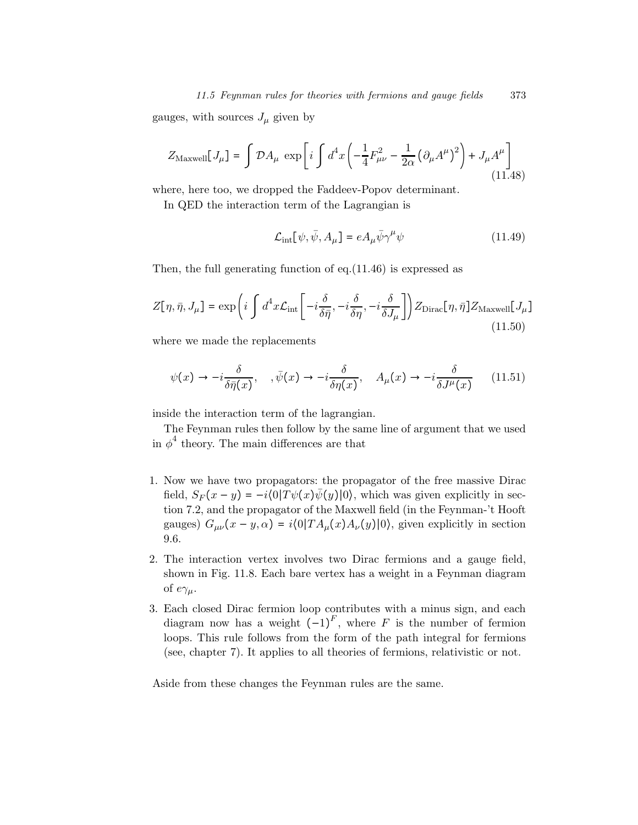#### 11.5 Feynman rules for theories with fermions and gauge fields 373

gauges, with sources  $J_\mu$  given by

$$
Z_{\text{Maxwell}}[J_{\mu}] = \int \mathcal{D}A_{\mu} \exp\left[i \int d^{4}x \left(-\frac{1}{4}F_{\mu\nu}^{2} - \frac{1}{2\alpha} \left(\partial_{\mu}A^{\mu}\right)^{2}\right) + J_{\mu}A^{\mu}\right]
$$
(11.48)

where, here too, we dropped the Faddeev-Popov determinant.

In QED the interaction term of the Lagrangian is

$$
\mathcal{L}_{int}[\psi, \bar{\psi}, A_{\mu}] = e A_{\mu} \bar{\psi} \gamma^{\mu} \psi \qquad (11.49)
$$

Then, the full generating function of eq.(11.46) is expressed as

$$
Z[\eta, \bar{\eta}, J_{\mu}] = \exp\left(i \int d^4x \mathcal{L}_{\text{int}}\left[-i \frac{\delta}{\delta \bar{\eta}}, -i \frac{\delta}{\delta \eta}, -i \frac{\delta}{\delta J_{\mu}}\right]\right) Z_{\text{Dirac}}[\eta, \bar{\eta}] Z_{\text{Maxwell}}[J_{\mu}]
$$
\n(11.50)

where we made the replacements

$$
\psi(x) \to -i\frac{\delta}{\delta \bar{\eta}(x)}, \quad ,\bar{\psi}(x) \to -i\frac{\delta}{\delta \eta(x)}, \quad A_{\mu}(x) \to -i\frac{\delta}{\delta J^{\mu}(x)} \tag{11.51}
$$

inside the interaction term of the lagrangian.

The Feynman rules then follow by the same line of argument that we used in  $\phi^4$  theory. The main differences are that

- 1. Now we have two propagators: the propagator of the free massive Dirac field,  $S_F(x-y) = -i\langle 0|T\psi(x)\overline{\psi}(y)|0\rangle$ , which was given explicitly in section 7.2, and the propagator of the Maxwell field (in the Feynman-'t Hooft gauges)  $G_{\mu\nu}(x-y,\alpha) = i\langle 0|TA_{\mu}(x)A_{\nu}(y)|0\rangle$ , given explicitly in section 9.6.
- 2. The interaction vertex involves two Dirac fermions and a gauge field, shown in Fig. 11.8. Each bare vertex has a weight in a Feynman diagram of  $e\gamma_\mu$ .
- 3. Each closed Dirac fermion loop contributes with a minus sign, and each diagram now has a weight  $(-1)^F$ , where F is the number of fermion loops. This rule follows from the form of the path integral for fermions (see, chapter 7). It applies to all theories of fermions, relativistic or not.

Aside from these changes the Feynman rules are the same.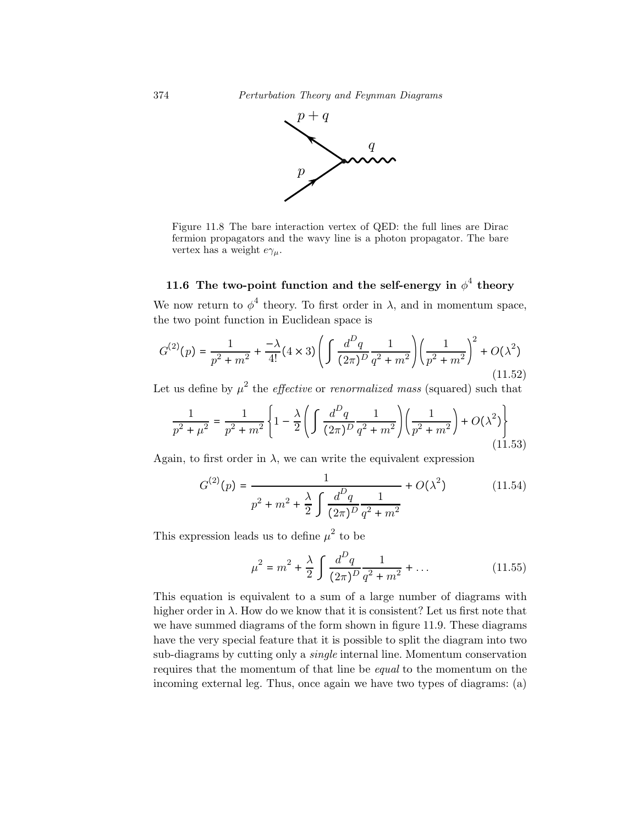

Figure 11.8 The bare interaction vertex of QED: the full lines are Dirac fermion propagators and the wavy line is a photon propagator. The bare vertex has a weight  $e\gamma_\mu$ .

## 11.6 The two-point function and the self-energy in  $\phi^4$  theory

We now return to  $\phi^4$  theory. To first order in  $\lambda$ , and in momentum space, the two point function in Euclidean space is

$$
G^{(2)}(p) = \frac{1}{p^2 + m^2} + \frac{-\lambda}{4!} (4 \times 3) \left( \int \frac{d^D q}{(2\pi)^D} \frac{1}{q^2 + m^2} \right) \left( \frac{1}{p^2 + m^2} \right)^2 + O(\lambda^2)
$$
\n(11.52)

Let us define by  $\mu^2$  the *effective* or *renormalized mass* (squared) such that

$$
\frac{1}{p^2 + \mu^2} = \frac{1}{p^2 + m^2} \left\{ 1 - \frac{\lambda}{2} \left( \int \frac{d^D q}{(2\pi)^D} \frac{1}{q^2 + m^2} \right) \left( \frac{1}{p^2 + m^2} \right) + O(\lambda^2) \right\}
$$
\n(11.53)

Again, to first order in  $\lambda$ , we can write the equivalent expression

$$
G^{(2)}(p) = \frac{1}{p^2 + m^2 + \frac{\lambda}{2} \int \frac{d^D q}{(2\pi)^D} \frac{1}{q^2 + m^2}} + O(\lambda^2)
$$
(11.54)

This expression leads us to define  $\mu^2$  to be

$$
\mu^2 = m^2 + \frac{\lambda}{2} \int \frac{d^D q}{(2\pi)^D} \frac{1}{q^2 + m^2} + \dots
$$
 (11.55)

This equation is equivalent to a sum of a large number of diagrams with higher order in  $\lambda$ . How do we know that it is consistent? Let us first note that we have summed diagrams of the form shown in figure 11.9. These diagrams have the very special feature that it is possible to split the diagram into two sub-diagrams by cutting only a single internal line. Momentum conservation requires that the momentum of that line be equal to the momentum on the incoming external leg. Thus, once again we have two types of diagrams: (a)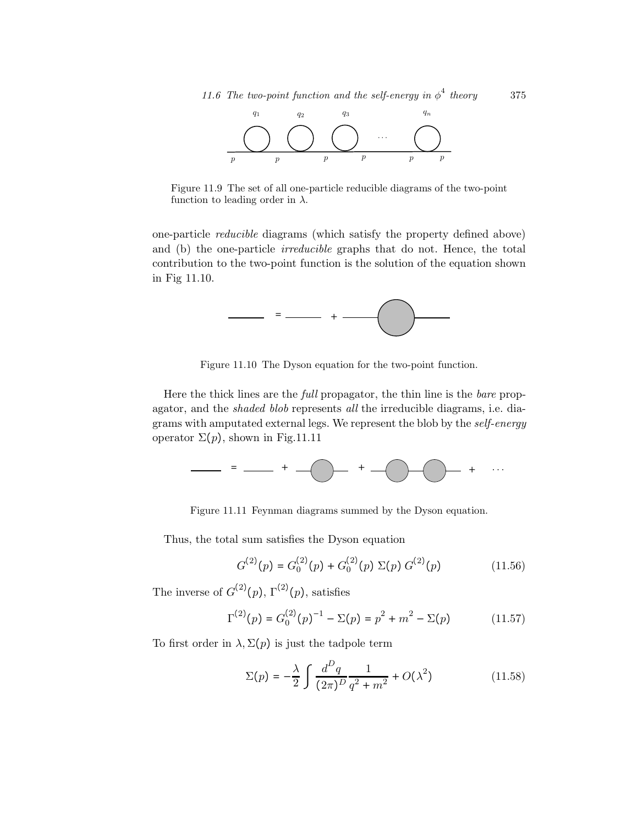

Figure 11.9 The set of all one-particle reducible diagrams of the two-point function to leading order in  $\lambda$ .

one-particle reducible diagrams (which satisfy the property defined above) and (b) the one-particle *irreducible* graphs that do not. Hence, the total contribution to the two-point function is the solution of the equation shown in Fig 11.10.



Figure 11.10 The Dyson equation for the two-point function.

Here the thick lines are the full propagator, the thin line is the bare propagator, and the shaded blob represents all the irreducible diagrams, i.e. diagrams with amputated external legs. We represent the blob by the self-energy operator  $\Sigma(p)$ , shown in Fig.11.11



Figure 11.11 Feynman diagrams summed by the Dyson equation.

Thus, the total sum satisfies the Dyson equation

$$
G^{(2)}(p) = G_0^{(2)}(p) + G_0^{(2)}(p) \Sigma(p) G^{(2)}(p)
$$
 (11.56)

The inverse of  $G^{(2)}(p)$ ,  $\Gamma^{(2)}(p)$ , satisfies

$$
\Gamma^{(2)}(p) = G_0^{(2)}(p)^{-1} - \Sigma(p) = p^2 + m^2 - \Sigma(p)
$$
 (11.57)

To first order in  $\lambda$ ,  $\Sigma(p)$  is just the tadpole term

$$
\Sigma(p) = -\frac{\lambda}{2} \int \frac{d^D q}{(2\pi)^D} \frac{1}{q^2 + m^2} + O(\lambda^2)
$$
 (11.58)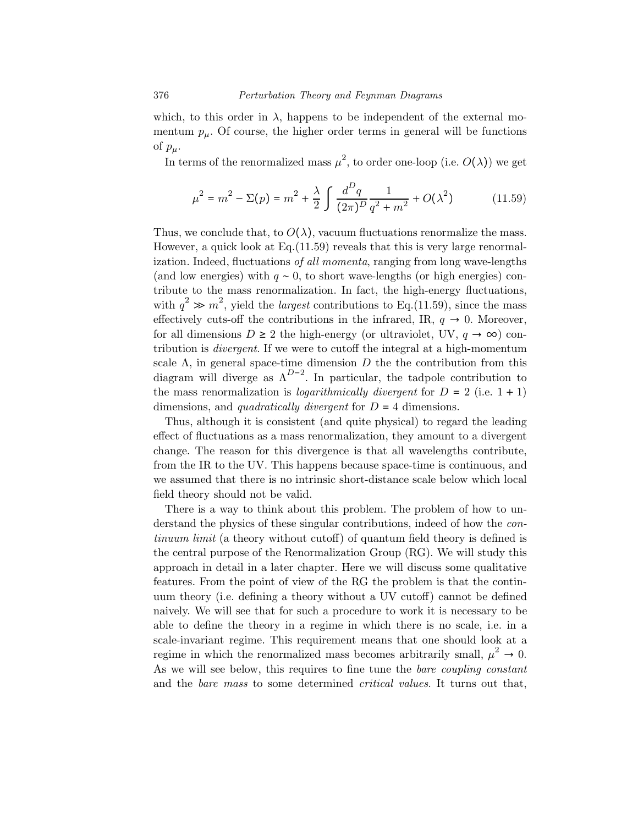which, to this order in  $\lambda$ , happens to be independent of the external momentum  $p_{\mu}$ . Of course, the higher order terms in general will be functions of  $p_\mu$ .

In terms of the renormalized mass  $\mu^2$ , to order one-loop (i.e.  $O(\lambda)$ ) we get

$$
\mu^2 = m^2 - \Sigma(p) = m^2 + \frac{\lambda}{2} \int \frac{d^D q}{(2\pi)^D} \frac{1}{q^2 + m^2} + O(\lambda^2)
$$
 (11.59)

Thus, we conclude that, to  $O(\lambda)$ , vacuum fluctuations renormalize the mass. However, a quick look at  $Eq.(11.59)$  reveals that this is very large renormalization. Indeed, fluctuations of all momenta, ranging from long wave-lengths (and low energies) with  $q \sim 0$ , to short wave-lengths (or high energies) contribute to the mass renormalization. In fact, the high-energy fluctuations, with  $q^2 \gg m^2$ , yield the *largest* contributions to Eq. (11.59), since the mass effectively cuts-off the contributions in the infrared, IR,  $q \rightarrow 0$ . Moreover, for all dimensions  $D \geq 2$  the high-energy (or ultraviolet, UV,  $q \to \infty$ ) contribution is divergent. If we were to cutoff the integral at a high-momentum scale  $\Lambda$ , in general space-time dimension D the the contribution from this diagram will diverge as  $\Lambda^{D-2}$ . In particular, the tadpole contribution to the mass renormalization is *logarithmically divergent* for  $D = 2$  (i.e.  $1 + 1$ ) dimensions, and *quadratically divergent* for  $D = 4$  dimensions.

Thus, although it is consistent (and quite physical) to regard the leading effect of fluctuations as a mass renormalization, they amount to a divergent change. The reason for this divergence is that all wavelengths contribute, from the IR to the UV. This happens because space-time is continuous, and we assumed that there is no intrinsic short-distance scale below which local field theory should not be valid.

There is a way to think about this problem. The problem of how to understand the physics of these singular contributions, indeed of how the continuum limit (a theory without cutoff) of quantum field theory is defined is the central purpose of the Renormalization Group (RG). We will study this approach in detail in a later chapter. Here we will discuss some qualitative features. From the point of view of the RG the problem is that the continuum theory (i.e. defining a theory without a UV cutoff) cannot be defined naively. We will see that for such a procedure to work it is necessary to be able to define the theory in a regime in which there is no scale, i.e. in a scale-invariant regime. This requirement means that one should look at a regime in which the renormalized mass becomes arbitrarily small,  $\mu^2 \to 0$ . As we will see below, this requires to fine tune the bare coupling constant and the bare mass to some determined critical values. It turns out that,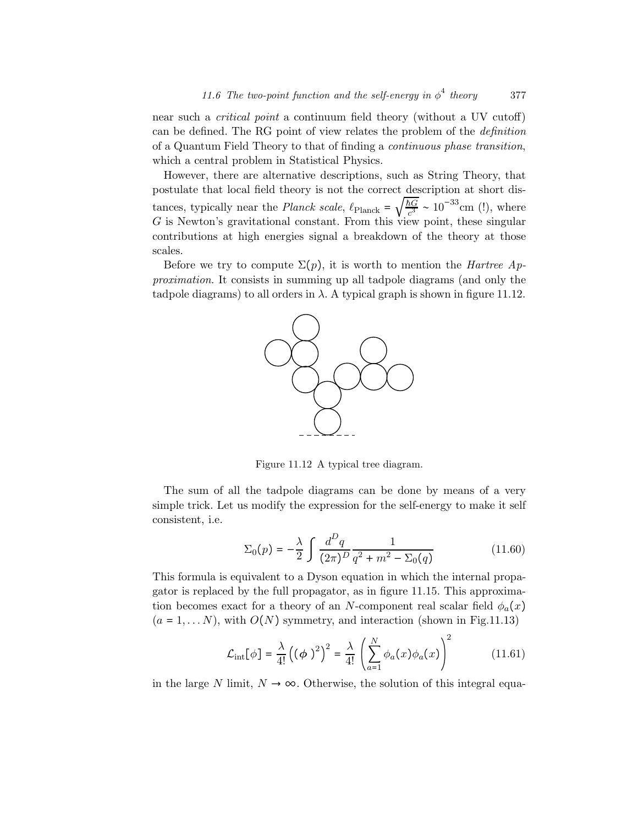near such a critical point a continuum field theory (without a UV cutoff) can be defined. The RG point of view relates the problem of the definition of a Quantum Field Theory to that of finding a continuous phase transition, which a central problem in Statistical Physics.

However, there are alternative descriptions, such as String Theory, that postulate that local field theory is not the correct description at short distances, typically near the *Planck scale*,  $\ell_{\text{Planck}} = \sqrt{\frac{\hbar G}{c^3}} \sim 10^{-33} \text{cm (!)}$ , where G is Newton's gravitational constant. From this view point, these singular contributions at high energies signal a breakdown of the theory at those scales.

Before we try to compute  $\Sigma(p)$ , it is worth to mention the *Hartree Ap*proximation. It consists in summing up all tadpole diagrams (and only the tadpole diagrams) to all orders in  $\lambda$ . A typical graph is shown in figure 11.12.



Figure 11.12 A typical tree diagram.

The sum of all the tadpole diagrams can be done by means of a very simple trick. Let us modify the expression for the self-energy to make it self consistent, i.e.

$$
\Sigma_0(p) = -\frac{\lambda}{2} \int \frac{d^D q}{(2\pi)^D} \frac{1}{q^2 + m^2 - \Sigma_0(q)}
$$
(11.60)

This formula is equivalent to a Dyson equation in which the internal propagator is replaced by the full propagator, as in figure 11.15. This approximation becomes exact for a theory of an N-component real scalar field  $\phi_a(x)$  $(a = 1, \ldots N)$ , with  $O(N)$  symmetry, and interaction (shown in Fig.11.13)

$$
\mathcal{L}_{int}[\phi] = \frac{\lambda}{4!} ((\phi)^2)^2 = \frac{\lambda}{4!} \left( \sum_{a=1}^N \phi_a(x) \phi_a(x) \right)^2 \tag{11.61}
$$

in the large N limit,  $N \to \infty$ . Otherwise, the solution of this integral equa-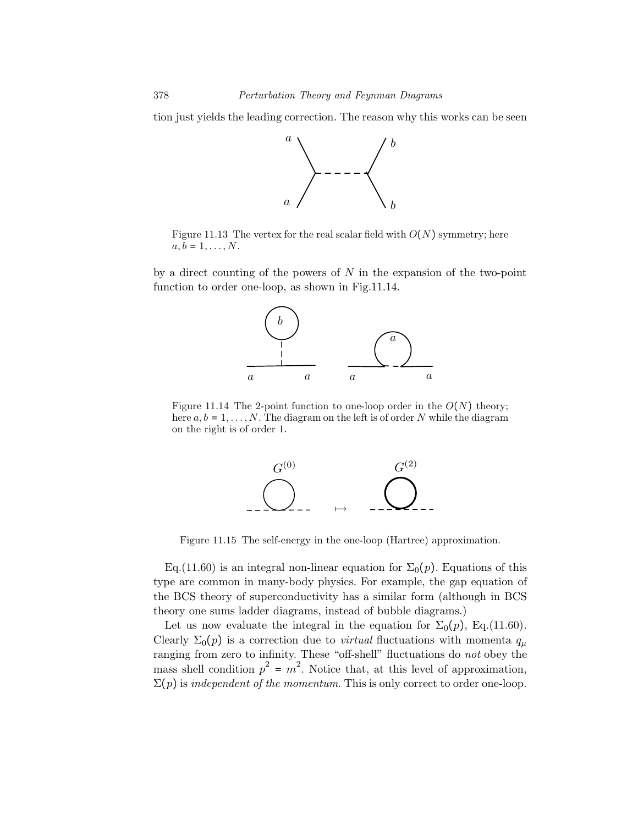tion just yields the leading correction. The reason why this works can be seen



Figure 11.13 The vertex for the real scalar field with  $O(N)$  symmetry; here  $a, b = 1, \ldots, N$ .

by a direct counting of the powers of  $N$  in the expansion of the two-point function to order one-loop, as shown in Fig.11.14.



Figure 11.14 The 2-point function to one-loop order in the  $O(N)$  theory; here  $a, b = 1, \ldots, N$ . The diagram on the left is of order N while the diagram on the right is of order 1.



Figure 11.15 The self-energy in the one-loop (Hartree) approximation.

Eq.(11.60) is an integral non-linear equation for  $\Sigma_0(p)$ . Equations of this type are common in many-body physics. For example, the gap equation of the BCS theory of superconductivity has a similar form (although in BCS theory one sums ladder diagrams, instead of bubble diagrams.)

Let us now evaluate the integral in the equation for  $\Sigma_0(p)$ , Eq.(11.60). Clearly  $\Sigma_0(p)$  is a correction due to *virtual* fluctuations with momenta  $q_\mu$ ranging from zero to infinity. These "off-shell" fluctuations do *not* obey the mass shell condition  $p^2 = m^2$ . Notice that, at this level of approximation,  $\Sigma(p)$  is independent of the momentum. This is only correct to order one-loop.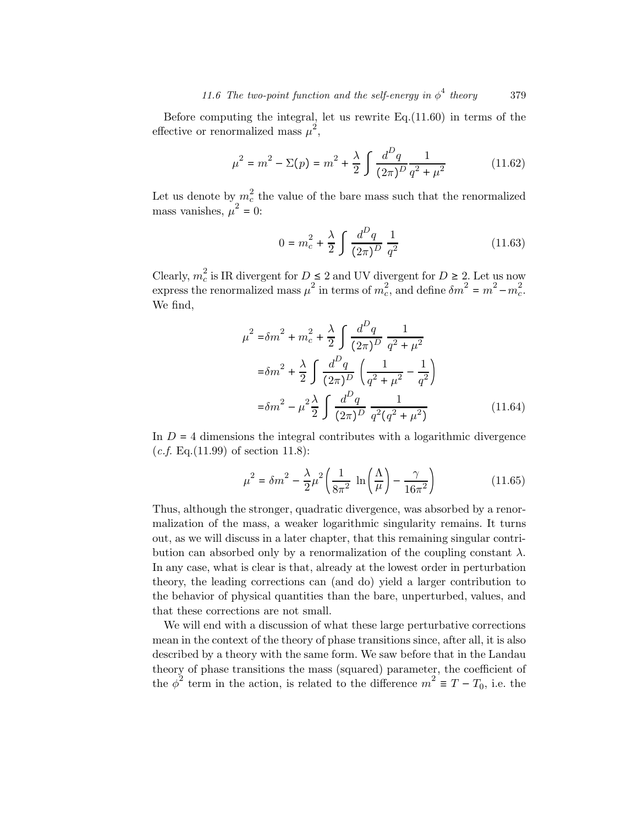Before computing the integral, let us rewrite Eq.(11.60) in terms of the effective or renormalized mass  $\mu^2$ ,

$$
\mu^2 = m^2 - \Sigma(p) = m^2 + \frac{\lambda}{2} \int \frac{d^D q}{(2\pi)^D} \frac{1}{q^2 + \mu^2}
$$
(11.62)

Let us denote by  $m_c^2$  the value of the bare mass such that the renormalized mass vanishes,  $\mu^2 = 0$ :

$$
0 = m_c^2 + \frac{\lambda}{2} \int \frac{d^D q}{(2\pi)^D} \frac{1}{q^2}
$$
 (11.63)

Clearly,  $m_c^2$  is IR divergent for  $D \leq 2$  and UV divergent for  $D \geq 2$ . Let us now express the renormalized mass  $\mu^2$  in terms of  $m_c^2$ , and define  $\delta m^2 = m^2 - m_c^2$ . We find,

$$
\mu^{2} = \delta m^{2} + m_{c}^{2} + \frac{\lambda}{2} \int \frac{d^{D}q}{(2\pi)^{D}} \frac{1}{q^{2} + \mu^{2}}
$$
  

$$
= \delta m^{2} + \frac{\lambda}{2} \int \frac{d^{D}q}{(2\pi)^{D}} \left(\frac{1}{q^{2} + \mu^{2}} - \frac{1}{q^{2}}\right)
$$
  

$$
= \delta m^{2} - \mu^{2} \frac{\lambda}{2} \int \frac{d^{D}q}{(2\pi)^{D}} \frac{1}{q^{2}(q^{2} + \mu^{2})}
$$
(11.64)

In  $D = 4$  dimensions the integral contributes with a logarithmic divergence  $(c.f. Eq.(11.99) of section 11.8):$ 

$$
\mu^2 = \delta m^2 - \frac{\lambda}{2} \mu^2 \left( \frac{1}{8\pi^2} \ln \left( \frac{\Lambda}{\mu} \right) - \frac{\gamma}{16\pi^2} \right) \tag{11.65}
$$

Thus, although the stronger, quadratic divergence, was absorbed by a renormalization of the mass, a weaker logarithmic singularity remains. It turns out, as we will discuss in a later chapter, that this remaining singular contribution can absorbed only by a renormalization of the coupling constant  $\lambda$ . In any case, what is clear is that, already at the lowest order in perturbation theory, the leading corrections can (and do) yield a larger contribution to the behavior of physical quantities than the bare, unperturbed, values, and that these corrections are not small.

We will end with a discussion of what these large perturbative corrections mean in the context of the theory of phase transitions since, after all, it is also described by a theory with the same form. We saw before that in the Landau theory of phase transitions the mass (squared) parameter, the coefficient of the  $\phi^2$  term in the action, is related to the difference  $m^2 \equiv T - T_0$ , i.e. the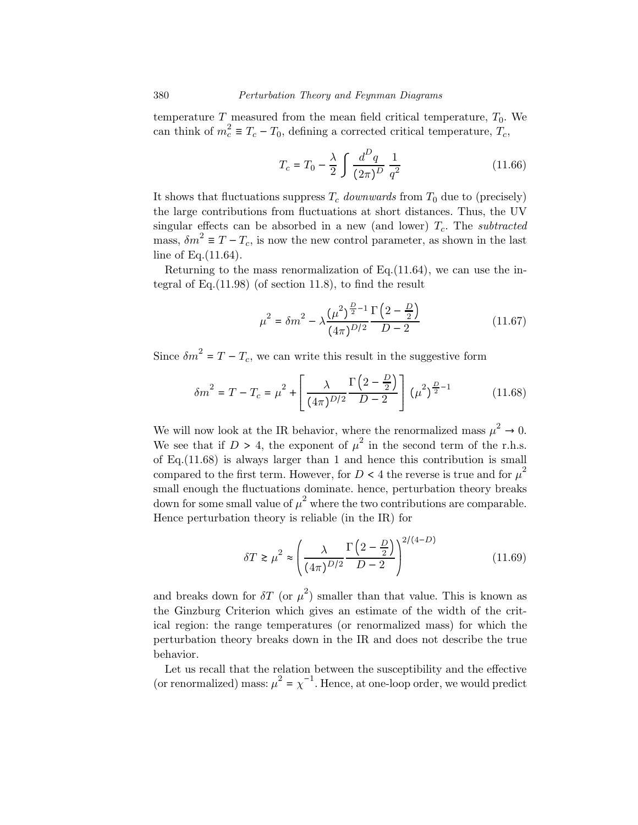temperature  $T$  measured from the mean field critical temperature,  $T_0$ . We can think of  $m_c^2 \equiv T_c - T_0$ , defining a corrected critical temperature,  $T_c$ ,

$$
T_c = T_0 - \frac{\lambda}{2} \int \frac{d^D q}{(2\pi)^D} \frac{1}{q^2}
$$
 (11.66)

It shows that fluctuations suppress  $T_c$  downwards from  $T_0$  due to (precisely) the large contributions from fluctuations at short distances. Thus, the UV singular effects can be absorbed in a new (and lower)  $T_c$ . The *subtracted* mass,  $\delta m^2 \equiv T - T_c$ , is now the new control parameter, as shown in the last line of Eq.(11.64).

Returning to the mass renormalization of Eq.(11.64), we can use the integral of Eq.(11.98) (of section 11.8), to find the result

$$
\mu^2 = \delta m^2 - \lambda \frac{\left(\mu^2\right)^{\frac{D}{2}-1} \Gamma\left(2-\frac{D}{2}\right)}{\left(4\pi\right)^{D/2}} \tag{11.67}
$$

Since  $\delta m^2 = T - T_c$ , we can write this result in the suggestive form

$$
\delta m^2 = T - T_c = \mu^2 + \left[ \frac{\lambda}{(4\pi)^{D/2}} \frac{\Gamma\left(2 - \frac{D}{2}\right)}{D - 2} \right] (\mu^2)^{\frac{D}{2} - 1} \tag{11.68}
$$

We will now look at the IR behavior, where the renormalized mass  $\mu^2 \to 0$ . We see that if  $D > 4$ , the exponent of  $\mu^2$  in the second term of the r.h.s. of Eq.(11.68) is always larger than 1 and hence this contribution is small compared to the first term. However, for  $D < 4$  the reverse is true and for  $\mu^2$ small enough the fluctuations dominate. hence, perturbation theory breaks down for some small value of  $\mu^2$  where the two contributions are comparable. Hence perturbation theory is reliable (in the IR) for

$$
\delta T \gtrsim \mu^2 \approx \left(\frac{\lambda}{(4\pi)^{D/2}} \frac{\Gamma\left(2 - \frac{D}{2}\right)}{D - 2}\right)^{2/(4 - D)}\tag{11.69}
$$

and breaks down for  $\delta T$  (or  $\mu^2$ ) smaller than that value. This is known as the Ginzburg Criterion which gives an estimate of the width of the critical region: the range temperatures (or renormalized mass) for which the perturbation theory breaks down in the IR and does not describe the true behavior.

Let us recall that the relation between the susceptibility and the effective (or renormalized) mass:  $\mu^2 = \chi^{-1}$ . Hence, at one-loop order, we would predict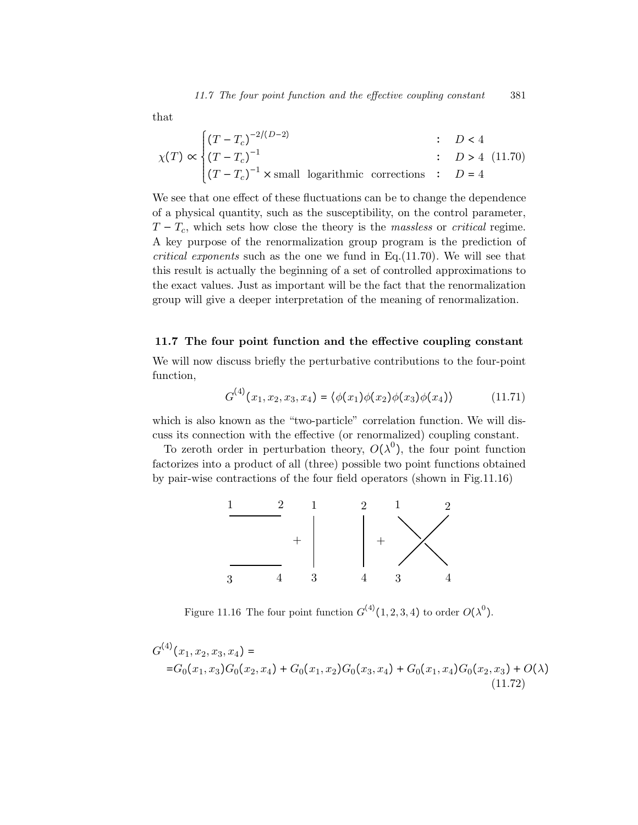that

$$
\chi(T) \propto \begin{cases}\n(T - T_c)^{-2/(D-2)} & : D < 4 \\
(T - T_c)^{-1} & : D > 4 \\
(T - T_c)^{-1} \times \text{small logarithmic corrections} & : D = 4\n\end{cases}
$$
\n(11.70)

We see that one effect of these fluctuations can be to change the dependence of a physical quantity, such as the susceptibility, on the control parameter,  $T - T_c$ , which sets how close the theory is the massless or critical regime. A key purpose of the renormalization group program is the prediction of critical exponents such as the one we fund in Eq.(11.70). We will see that this result is actually the beginning of a set of controlled approximations to the exact values. Just as important will be the fact that the renormalization group will give a deeper interpretation of the meaning of renormalization.

#### 11.7 The four point function and the effective coupling constant

We will now discuss briefly the perturbative contributions to the four-point function,

$$
G^{(4)}(x_1, x_2, x_3, x_4) = \langle \phi(x_1)\phi(x_2)\phi(x_3)\phi(x_4) \rangle \tag{11.71}
$$

which is also known as the "two-particle" correlation function. We will discuss its connection with the effective (or renormalized) coupling constant.

To zeroth order in perturbation theory,  $O(\lambda^0)$ , the four point function factorizes into a product of all (three) possible two point functions obtained by pair-wise contractions of the four field operators (shown in Fig.11.16)



Figure 11.16 The four point function  $G^{(4)}(1,2,3,4)$  to order  $O(\lambda^0)$ .

$$
G^{(4)}(x_1, x_2, x_3, x_4) =
$$
  
= $G_0(x_1, x_3)G_0(x_2, x_4) + G_0(x_1, x_2)G_0(x_3, x_4) + G_0(x_1, x_4)G_0(x_2, x_3) + O(\lambda)$   
(11.72)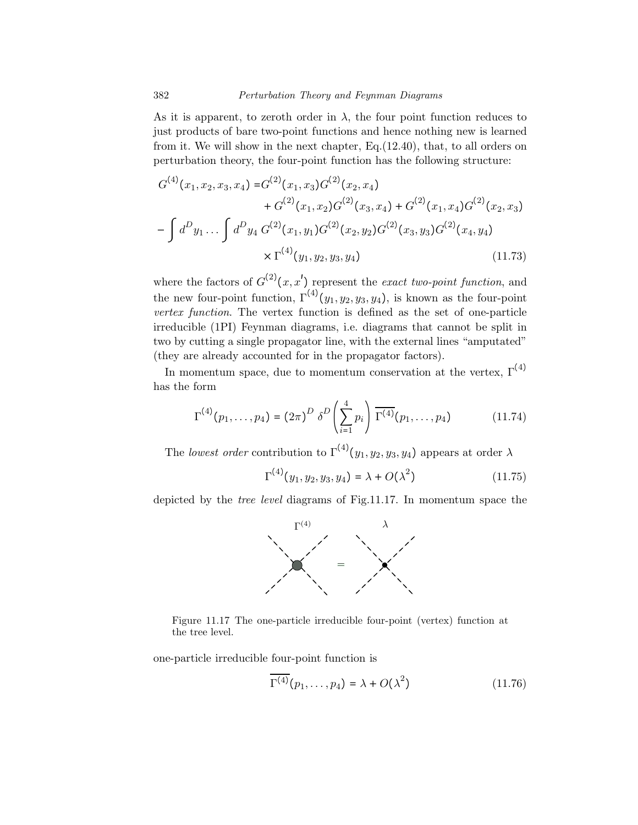As it is apparent, to zeroth order in  $\lambda$ , the four point function reduces to just products of bare two-point functions and hence nothing new is learned from it. We will show in the next chapter, Eq.(12.40), that, to all orders on perturbation theory, the four-point function has the following structure:

$$
G^{(4)}(x_1, x_2, x_3, x_4) = G^{(2)}(x_1, x_3)G^{(2)}(x_2, x_4)
$$
  
+ 
$$
G^{(2)}(x_1, x_2)G^{(2)}(x_3, x_4) + G^{(2)}(x_1, x_4)G^{(2)}(x_2, x_3)
$$
  
- 
$$
\int d^D y_1 \dots \int d^D y_4 G^{(2)}(x_1, y_1)G^{(2)}(x_2, y_2)G^{(2)}(x_3, y_3)G^{(2)}(x_4, y_4)
$$
  
× 
$$
\Gamma^{(4)}(y_1, y_2, y_3, y_4)
$$
 (11.73)

where the factors of  $G^{(2)}(x,x')$  represent the exact two-point function, and the new four-point function,  $\Gamma^{(4)}(y_1, y_2, y_3, y_4)$ , is known as the four-point vertex function. The vertex function is defined as the set of one-particle irreducible (1PI) Feynman diagrams, i.e. diagrams that cannot be split in two by cutting a single propagator line, with the external lines "amputated" (they are already accounted for in the propagator factors).

In momentum space, due to momentum conservation at the vertex,  $\Gamma^{(4)}$ has the form

$$
\Gamma^{(4)}(p_1,\ldots,p_4) = (2\pi)^D \delta^D \left(\sum_{i=1}^4 p_i\right) \overline{\Gamma^{(4)}}(p_1,\ldots,p_4) \tag{11.74}
$$

The *lowest order* contribution to  $\Gamma^{(4)}(y_1, y_2, y_3, y_4)$  appears at order  $\lambda$ 

$$
\Gamma^{(4)}(y_1, y_2, y_3, y_4) = \lambda + O(\lambda^2)
$$
\n(11.75)

depicted by the tree level diagrams of Fig.11.17. In momentum space the



Figure 11.17 The one-particle irreducible four-point (vertex) function at the tree level.

one-particle irreducible four-point function is

$$
\overline{\Gamma^{(4)}}(p_1,\ldots,p_4) = \lambda + O(\lambda^2)
$$
\n(11.76)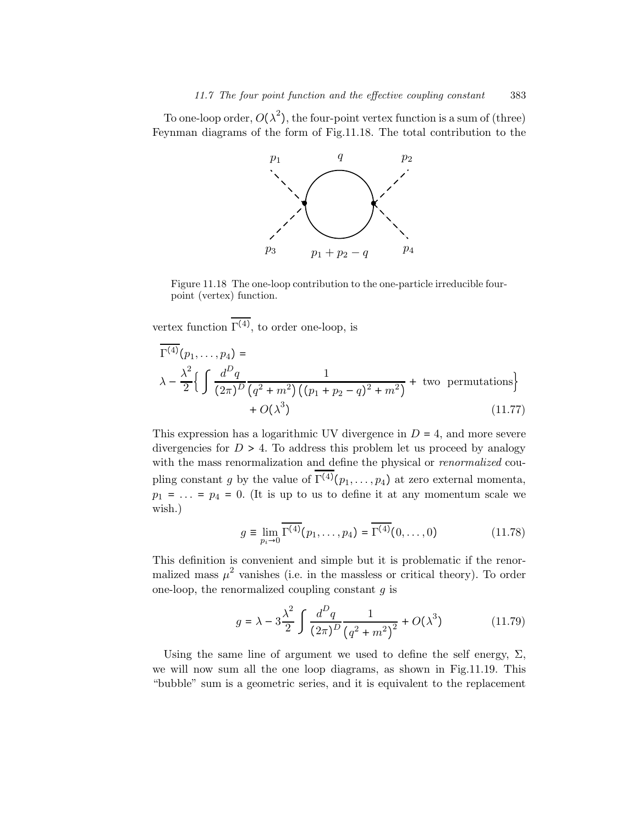To one-loop order,  $O(\lambda^2)$ , the four-point vertex function is a sum of (three) Feynman diagrams of the form of Fig.11.18. The total contribution to the



Figure 11.18 The one-loop contribution to the one-particle irreducible fourpoint (vertex) function.

vertex function  $\Gamma^{(4)}$ , to order one-loop, is

$$
\Gamma^{(4)}(p_1, \dots, p_4) =
$$
\n
$$
\lambda - \frac{\lambda^2}{2} \Big\{ \int \frac{d^D q}{(2\pi)^D} \frac{1}{(q^2 + m^2) ((p_1 + p_2 - q)^2 + m^2)} + \text{two permutations} \Big\}
$$
\n
$$
+ O(\lambda^3)
$$
\n(11.77)

This expression has a logarithmic UV divergence in  $D = 4$ , and more severe divergencies for  $D > 4$ . To address this problem let us proceed by analogy with the mass renormalization and define the physical or *renormalized* coupling constant g by the value of  $\Gamma^{(4)}(p_1,\ldots,p_4)$  at zero external momenta,  $p_1 = \ldots = p_4 = 0$ . (It is up to us to define it at any momentum scale we wish.)

$$
g \equiv \lim_{p_i \to 0} \overline{\Gamma^{(4)}}(p_1, \dots, p_4) = \overline{\Gamma^{(4)}}(0, \dots, 0)
$$
 (11.78)

This definition is convenient and simple but it is problematic if the renormalized mass  $\mu^2$  vanishes (i.e. in the massless or critical theory). To order one-loop, the renormalized coupling constant  $g$  is

$$
g = \lambda - 3\frac{\lambda^2}{2} \int \frac{d^D q}{(2\pi)^D} \frac{1}{(q^2 + m^2)^2} + O(\lambda^3)
$$
 (11.79)

Using the same line of argument we used to define the self energy,  $\Sigma$ , we will now sum all the one loop diagrams, as shown in Fig.11.19. This "bubble" sum is a geometric series, and it is equivalent to the replacement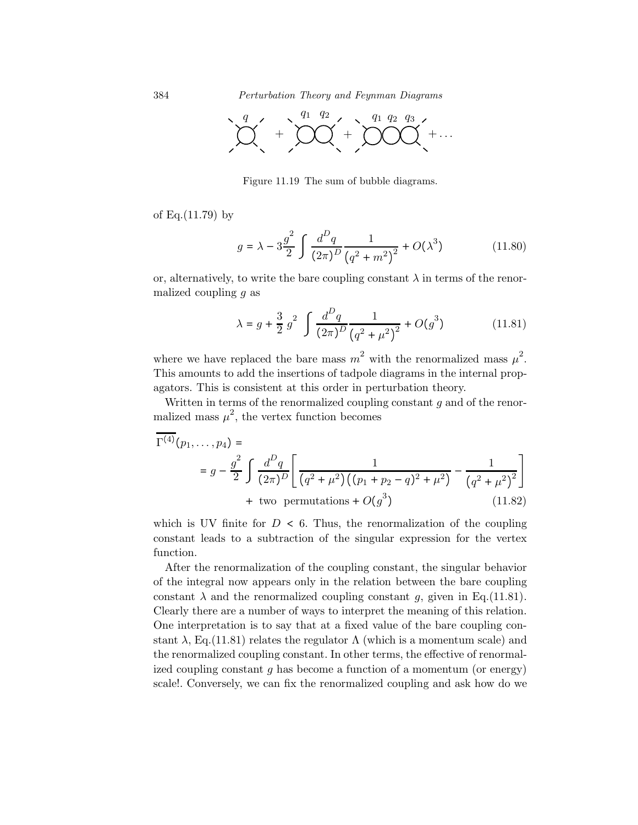384 Perturbation Theory and Feynman Diagrams



Figure 11.19 The sum of bubble diagrams.

of Eq.(11.79) by

$$
g = \lambda - 3\frac{g^2}{2} \int \frac{d^D q}{(2\pi)^D} \frac{1}{(q^2 + m^2)^2} + O(\lambda^3)
$$
 (11.80)

or, alternatively, to write the bare coupling constant  $\lambda$  in terms of the renormalized coupling  $q$  as

$$
\lambda = g + \frac{3}{2} g^2 \int \frac{d^D q}{(2\pi)^D} \frac{1}{(q^2 + \mu^2)^2} + O(g^3)
$$
 (11.81)

where we have replaced the bare mass  $m^2$  with the renormalized mass  $\mu^2$ . This amounts to add the insertions of tadpole diagrams in the internal propagators. This is consistent at this order in perturbation theory.

Written in terms of the renormalized coupling constant  $g$  and of the renormalized mass  $\mu^2$ , the vertex function becomes

$$
\Gamma^{(4)}(p_1, \dots, p_4) =
$$
\n
$$
= g - \frac{g^2}{2} \int \frac{d^D q}{(2\pi)^D} \left[ \frac{1}{(q^2 + \mu^2) ((p_1 + p_2 - q)^2 + \mu^2)} - \frac{1}{(q^2 + \mu^2)^2} \right]
$$
\n+ two permutations +  $O(g^3)$  (11.82)

which is UV finite for  $D < 6$ . Thus, the renormalization of the coupling constant leads to a subtraction of the singular expression for the vertex function.

After the renormalization of the coupling constant, the singular behavior of the integral now appears only in the relation between the bare coupling constant  $\lambda$  and the renormalized coupling constant g, given in Eq.(11.81). Clearly there are a number of ways to interpret the meaning of this relation. One interpretation is to say that at a fixed value of the bare coupling constant  $\lambda$ , Eq.(11.81) relates the regulator  $\Lambda$  (which is a momentum scale) and the renormalized coupling constant. In other terms, the effective of renormalized coupling constant  $g$  has become a function of a momentum (or energy) scale!. Conversely, we can fix the renormalized coupling and ask how do we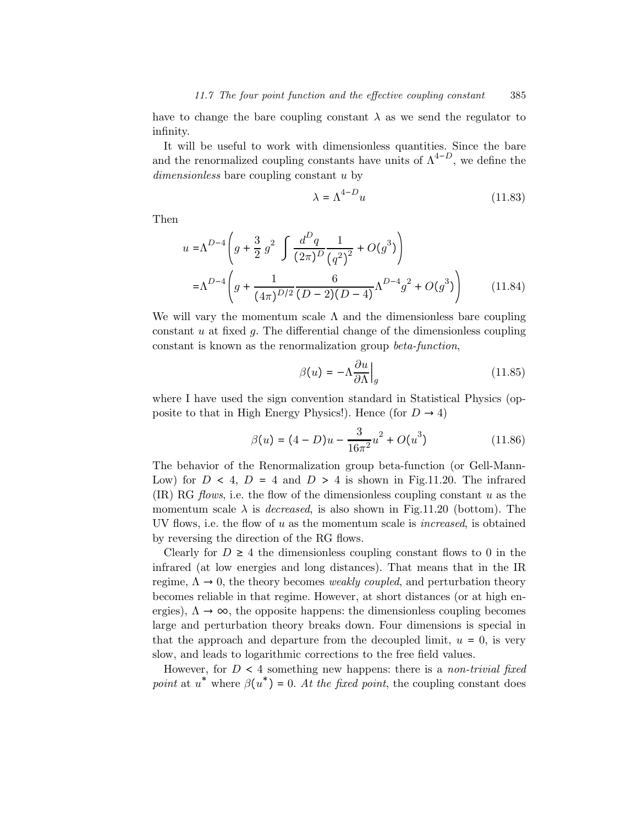have to change the bare coupling constant  $\lambda$  as we send the regulator to infinity.

It will be useful to work with dimensionless quantities. Since the bare and the renormalized coupling constants have units of  $\Lambda^{4-D}$ , we define the dimensionless bare coupling constant u by

$$
\lambda = \Lambda^{4-D} u \tag{11.83}
$$

Then

$$
u = \Lambda^{D-4} \left( g + \frac{3}{2} g^2 \int \frac{d^D q}{(2\pi)^D} \frac{1}{(q^2)^2} + O(g^3) \right)
$$
  
=  $\Lambda^{D-4} \left( g + \frac{1}{(4\pi)^{D/2}} \frac{6}{(D-2)(D-4)} \Lambda^{D-4} g^2 + O(g^3) \right)$  (11.84)

We will vary the momentum scale  $\Lambda$  and the dimensionless bare coupling constant  $u$  at fixed  $g$ . The differential change of the dimensionless coupling constant is known as the renormalization group beta-function,

$$
\beta(u) = -\Lambda \frac{\partial u}{\partial \Lambda} \Big|_g \tag{11.85}
$$

where I have used the sign convention standard in Statistical Physics (opposite to that in High Energy Physics!). Hence (for  $D \rightarrow 4$ )

$$
\beta(u) = (4 - D)u - \frac{3}{16\pi^2}u^2 + O(u^3)
$$
\n(11.86)

The behavior of the Renormalization group beta-function (or Gell-Mann-Low) for  $D < 4$ ,  $D = 4$  and  $D > 4$  is shown in Fig.11.20. The infrared  $(IR) RG$  flows, i.e. the flow of the dimensionless coupling constant u as the momentum scale  $\lambda$  is *decreased*, is also shown in Fig.11.20 (bottom). The UV flows, i.e. the flow of u as the momentum scale is increased, is obtained by reversing the direction of the RG flows.

Clearly for  $D \geq 4$  the dimensionless coupling constant flows to 0 in the infrared (at low energies and long distances). That means that in the IR regime,  $\Lambda \rightarrow 0$ , the theory becomes *weakly coupled*, and perturbation theory becomes reliable in that regime. However, at short distances (or at high energies),  $\Lambda \rightarrow \infty$ , the opposite happens: the dimensionless coupling becomes large and perturbation theory breaks down. Four dimensions is special in that the approach and departure from the decoupled limit,  $u = 0$ , is very slow, and leads to logarithmic corrections to the free field values.

However, for  $D < 4$  something new happens: there is a non-trivial fixed point at  $u^*$  where  $\beta(u^*) = 0$ . At the fixed point, the coupling constant does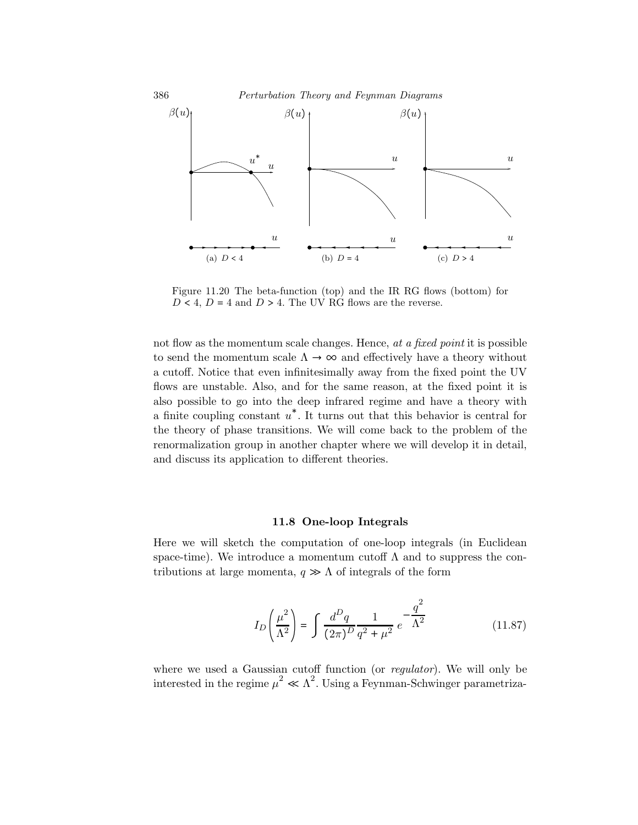

Figure 11.20 The beta-function (top) and the IR RG flows (bottom) for  $D < 4$ ,  $D = 4$  and  $D > 4$ . The UV RG flows are the reverse.

not flow as the momentum scale changes. Hence, at a fixed point it is possible to send the momentum scale  $\Lambda \to \infty$  and effectively have a theory without a cutoff. Notice that even infinitesimally away from the fixed point the UV flows are unstable. Also, and for the same reason, at the fixed point it is also possible to go into the deep infrared regime and have a theory with a finite coupling constant  $u^*$ . It turns out that this behavior is central for the theory of phase transitions. We will come back to the problem of the renormalization group in another chapter where we will develop it in detail, and discuss its application to different theories.

#### 11.8 One-loop Integrals

Here we will sketch the computation of one-loop integrals (in Euclidean space-time). We introduce a momentum cutoff  $\Lambda$  and to suppress the contributions at large momenta,  $q \gg \Lambda$  of integrals of the form

$$
I_D\left(\frac{\mu^2}{\Lambda^2}\right) = \int \frac{d^D q}{(2\pi)^D} \frac{1}{q^2 + \mu^2} e^{-\frac{q^2}{\Lambda^2}}
$$
(11.87)

where we used a Gaussian cutoff function (or *regulator*). We will only be interested in the regime  $\mu^2 \ll \Lambda^2$ . Using a Feynman-Schwinger parametriza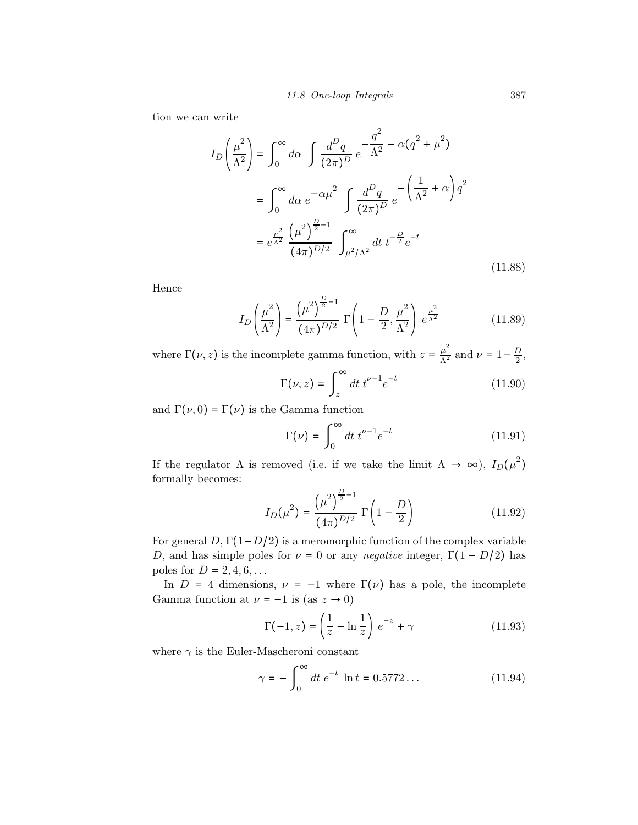tion we can write

$$
I_{D}\left(\frac{\mu^{2}}{\Lambda^{2}}\right) = \int_{0}^{\infty} d\alpha \int \frac{d^{D}q}{(2\pi)^{D}} e^{-\frac{q^{2}}{\Lambda^{2}} - \alpha(q^{2} + \mu^{2})}
$$
  

$$
= \int_{0}^{\infty} d\alpha e^{-\alpha\mu^{2}} \int \frac{d^{D}q}{(2\pi)^{D}} e^{-\left(\frac{1}{\Lambda^{2}} + \alpha\right)q^{2}}
$$
  

$$
= e^{\frac{\mu^{2}}{\Lambda^{2}}}\frac{(\mu^{2})^{\frac{D}{2} - 1}}{(4\pi)^{D/2}} \int_{\mu^{2}/\Lambda^{2}}^{\infty} dt \ t^{-\frac{D}{2}} e^{-t}
$$
(11.88)

Hence

$$
I_D\left(\frac{\mu^2}{\Lambda^2}\right) = \frac{\left(\mu^2\right)^{\frac{D}{2}-1}}{(4\pi)^{D/2}} \Gamma\left(1 - \frac{D}{2}, \frac{\mu^2}{\Lambda^2}\right) e^{\frac{\mu^2}{\Lambda^2}} \tag{11.89}
$$

where  $\Gamma(\nu, z)$  is the incomplete gamma function, with  $z = \frac{\mu^2}{\Lambda^2}$  and  $\nu = 1 - \frac{D}{2}$ , ∞

$$
\Gamma(\nu, z) = \int_{z}^{\infty} dt \ t^{\nu - 1} e^{-t} \tag{11.90}
$$

and  $\Gamma(\nu,0) = \Gamma(\nu)$  is the Gamma function

$$
\Gamma(\nu) = \int_0^\infty dt \, t^{\nu - 1} e^{-t} \tag{11.91}
$$

If the regulator  $\Lambda$  is removed (i.e. if we take the limit  $\Lambda \to \infty$ ),  $I_D(\mu^2)$ formally becomes:

$$
I_D(\mu^2) = \frac{\left(\mu^2\right)^{\frac{D}{2}-1}}{(4\pi)^{D/2}} \Gamma\left(1 - \frac{D}{2}\right) \tag{11.92}
$$

For general  $D, \Gamma(1-D/2)$  is a meromorphic function of the complex variable D, and has simple poles for  $\nu = 0$  or any *negative* integer,  $\Gamma(1 - D/2)$  has poles for  $D = 2, 4, 6, \ldots$ 

In  $D = 4$  dimensions,  $\nu = -1$  where  $\Gamma(\nu)$  has a pole, the incomplete Gamma function at  $\nu=-1$  is (as  $z\rightarrow 0)$ 

$$
\Gamma(-1, z) = \left(\frac{1}{z} - \ln\frac{1}{z}\right) e^{-z} + \gamma \tag{11.93}
$$

where  $\gamma$  is the Euler-Mascheroni constant

$$
\gamma = -\int_0^\infty dt \ e^{-t} \ \ln t = 0.5772 \dots \tag{11.94}
$$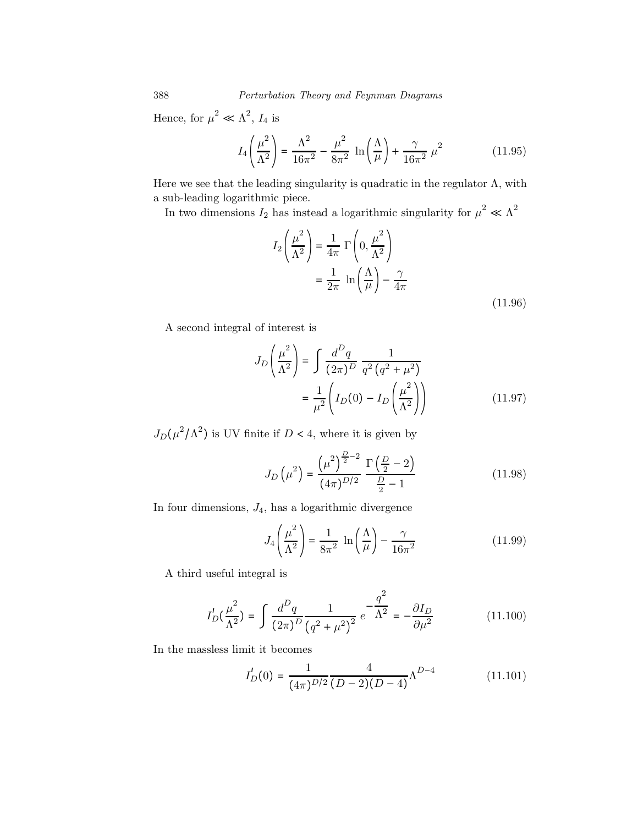388 Perturbation Theory and Feynman Diagrams

Hence, for  $\mu^2 \ll \Lambda^2$ ,  $I_4$  is

$$
I_4\left(\frac{\mu^2}{\Lambda^2}\right) = \frac{\Lambda^2}{16\pi^2} - \frac{\mu^2}{8\pi^2} \ln\left(\frac{\Lambda}{\mu}\right) + \frac{\gamma}{16\pi^2} \mu^2
$$
 (11.95)

Here we see that the leading singularity is quadratic in the regulator  $\Lambda$ , with a sub-leading logarithmic piece.

In two dimensions  $I_2$  has instead a logarithmic singularity for  $\mu^2 \ll \Lambda^2$ 

$$
I_2\left(\frac{\mu^2}{\Lambda^2}\right) = \frac{1}{4\pi} \Gamma\left(0, \frac{\mu^2}{\Lambda^2}\right)
$$

$$
= \frac{1}{2\pi} \ln\left(\frac{\Lambda}{\mu}\right) - \frac{\gamma}{4\pi}
$$
(11.96)

A second integral of interest is

$$
J_D\left(\frac{\mu^2}{\Lambda^2}\right) = \int \frac{d^D q}{(2\pi)^D} \frac{1}{q^2 (q^2 + \mu^2)} = \frac{1}{\mu^2} \left(I_D(0) - I_D\left(\frac{\mu^2}{\Lambda^2}\right)\right)
$$
(11.97)

 $J_D(\mu^2/\Lambda^2)$  is UV finite if  $D < 4$ , where it is given by

$$
J_D\left(\mu^2\right) = \frac{\left(\mu^2\right)^{\frac{D}{2}-2}}{\left(4\pi\right)^{D/2}} \frac{\Gamma\left(\frac{D}{2}-2\right)}{\frac{D}{2}-1}
$$
 (11.98)

In four dimensions,  $J_4$ , has a logarithmic divergence

$$
J_4\left(\frac{\mu^2}{\Lambda^2}\right) = \frac{1}{8\pi^2} \ln\left(\frac{\Lambda}{\mu}\right) - \frac{\gamma}{16\pi^2}
$$
 (11.99)

A third useful integral is

$$
I_D'(\frac{\mu^2}{\Lambda^2}) = \int \frac{d^D q}{(2\pi)^D} \frac{1}{(q^2 + \mu^2)^2} e^{-\frac{q^2}{\Lambda^2}} = -\frac{\partial I_D}{\partial \mu^2}
$$
(11.100)

In the massless limit it becomes

$$
I'_D(0) = \frac{1}{(4\pi)^{D/2}} \frac{4}{(D-2)(D-4)} \Lambda^{D-4}
$$
 (11.101)